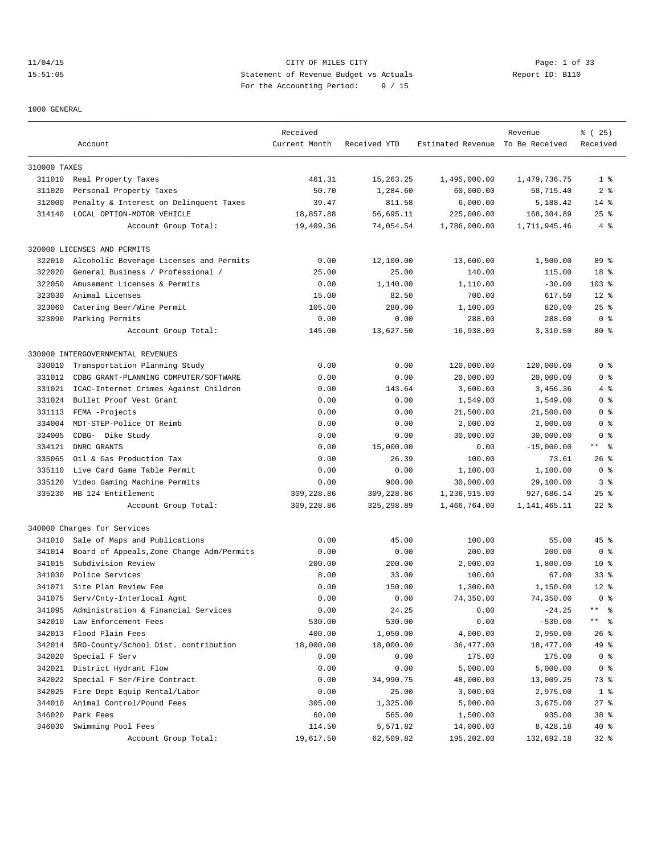11/04/15 CITY OF MILES CITY Page: 1 of 33 15:51:05 Statement of Revenue Budget vs Actuals Report ID: B110 For the Accounting Period: 9 / 15

1000 GENERAL

| Estimated Revenue To Be Received<br>Account<br>Current Month<br>Received YTD<br>310000 TAXES<br>311010 Real Property Taxes<br>461.31<br>15,263.25<br>1,495,000.00<br>1,479,736.75<br>50.70<br>58,715.40<br>311020<br>Personal Property Taxes<br>1,284.60<br>60,000.00<br>312000<br>Penalty & Interest on Delinquent Taxes<br>39.47<br>811.58<br>6,000.00<br>5,188.42<br>$14*$<br>LOCAL OPTION-MOTOR VEHICLE<br>18,857.88<br>56,695.11<br>225,000.00<br>168,304.89<br>$25$ %<br>314140<br>1,786,000.00<br>Account Group Total:<br>19,409.36<br>74,054.54<br>1,711,945.46<br>320000 LICENSES AND PERMITS<br>Alcoholic Beverage Licenses and Permits<br>0.00<br>1,500.00<br>322010<br>12,100.00<br>13,600.00<br>General Business / Professional /<br>25.00<br>322020<br>25.00<br>140.00<br>115.00<br>322050<br>Amusement Licenses & Permits<br>0.00<br>1,140.00<br>$103$ %<br>1,110.00<br>$-30.00$<br>323030<br>Animal Licenses<br>15.00<br>82.50<br>700.00<br>617.50<br>$12*$<br>323060<br>Catering Beer/Wine Permit<br>105.00<br>280.00<br>1,100.00<br>820.00<br>$25$ %<br>323090 Parking Permits<br>0.00<br>0.00<br>288.00<br>0 <sup>8</sup><br>288.00<br>13,627.50<br>16,938.00<br>Account Group Total:<br>145.00<br>3,310.50<br>80%<br>330000 INTERGOVERNMENTAL REVENUES<br>Transportation Planning Study<br>0.00<br>0.00<br>120,000.00<br>120,000.00<br>330010<br>331012<br>CDBG GRANT-PLANNING COMPUTER/SOFTWARE<br>0.00<br>0.00<br>20,000.00<br>20,000.00<br>143.64<br>3,600.00<br>331021<br>ICAC-Internet Crimes Against Children<br>0.00<br>3,456.36<br>331024<br>Bullet Proof Vest Grant<br>0.00<br>0.00<br>1,549.00<br>1,549.00<br>331113<br>FEMA -Projects<br>0.00<br>0.00<br>21,500.00<br>21,500.00<br>334004<br>MDT-STEP-Police OT Reimb<br>0.00<br>0.00<br>2,000.00<br>2,000.00<br>334005<br>CDBG- Dike Study<br>0.00<br>0.00<br>30,000.00<br>30,000.00<br>334121<br>DNRC GRANTS<br>0.00<br>15,000.00<br>$-15,000.00$<br>0.00<br>335065<br>Oil & Gas Production Tax<br>0.00<br>26.39<br>100.00<br>73.61<br>335110<br>Live Card Game Table Permit<br>0.00<br>0.00<br>1,100.00<br>1,100.00<br>335120<br>Video Gaming Machine Permits<br>0.00<br>900.00<br>30,000.00<br>29,100.00<br>335230<br>HB 124 Entitlement<br>309,228.86<br>309,228.86<br>1,236,915.00<br>927,686.14<br>309,228.86<br>Account Group Total:<br>325,298.89<br>1,466,764.00<br>1,141,465.11<br>340000 Charges for Services<br>Sale of Maps and Publications<br>0.00<br>45.00<br>100.00<br>55.00<br>341010<br>341014<br>Board of Appeals, Zone Change Adm/Permits<br>0.00<br>0.00<br>200.00<br>200.00<br>341015<br>Subdivision Review<br>200.00<br>200.00<br>2,000.00<br>1,800.00<br>341030<br>Police Services<br>8.00<br>100.00<br>67.00<br>33.00<br>341071 Site Plan Review Fee<br>0.00<br>150.00<br>1,300.00<br>1,150.00<br>341075<br>Serv/Cnty-Interlocal Agmt<br>0.00<br>0.00<br>74,350.00<br>74,350.00<br>Administration & Financial Services<br>0.00<br>24.25<br>0.00<br>$-24.25$<br>$\star\star$<br>341095<br>342010<br>Law Enforcement Fees<br>530.00<br>530.00<br>0.00<br>$-530.00$<br>$***$<br>342013<br>Flood Plain Fees<br>400.00<br>1,050.00<br>4,000.00<br>2,950.00<br>342014<br>SRO-County/School Dist. contribution<br>18,000.00<br>18,000.00<br>36,477.00<br>18,477.00<br>342020<br>0.00<br>175.00<br>Special F Serv<br>0.00<br>175.00<br>342021<br>District Hydrant Flow<br>0.00<br>0.00<br>5,000.00<br>5,000.00<br>342022<br>48,000.00<br>Special F Ser/Fire Contract<br>0.00<br>34,990.75<br>13,009.25<br>342025<br>Fire Dept Equip Rental/Labor<br>0.00<br>3,000.00<br>25.00<br>2,975.00<br>344010<br>Animal Control/Pound Fees<br>305.00<br>1,325.00<br>5,000.00<br>3,675.00 |        |           | Received |        |          | Revenue | % (25)          |
|----------------------------------------------------------------------------------------------------------------------------------------------------------------------------------------------------------------------------------------------------------------------------------------------------------------------------------------------------------------------------------------------------------------------------------------------------------------------------------------------------------------------------------------------------------------------------------------------------------------------------------------------------------------------------------------------------------------------------------------------------------------------------------------------------------------------------------------------------------------------------------------------------------------------------------------------------------------------------------------------------------------------------------------------------------------------------------------------------------------------------------------------------------------------------------------------------------------------------------------------------------------------------------------------------------------------------------------------------------------------------------------------------------------------------------------------------------------------------------------------------------------------------------------------------------------------------------------------------------------------------------------------------------------------------------------------------------------------------------------------------------------------------------------------------------------------------------------------------------------------------------------------------------------------------------------------------------------------------------------------------------------------------------------------------------------------------------------------------------------------------------------------------------------------------------------------------------------------------------------------------------------------------------------------------------------------------------------------------------------------------------------------------------------------------------------------------------------------------------------------------------------------------------------------------------------------------------------------------------------------------------------------------------------------------------------------------------------------------------------------------------------------------------------------------------------------------------------------------------------------------------------------------------------------------------------------------------------------------------------------------------------------------------------------------------------------------------------------------------------------------------------------------------------------------------------------------------------------------------------------------------------------------------------------------------------------------------------------------------------------------------------------------------------------------------------------------------------------------------------------------------------------------------------------------------------------------------------------------------------------------------------------------------------------------------|--------|-----------|----------|--------|----------|---------|-----------------|
|                                                                                                                                                                                                                                                                                                                                                                                                                                                                                                                                                                                                                                                                                                                                                                                                                                                                                                                                                                                                                                                                                                                                                                                                                                                                                                                                                                                                                                                                                                                                                                                                                                                                                                                                                                                                                                                                                                                                                                                                                                                                                                                                                                                                                                                                                                                                                                                                                                                                                                                                                                                                                                                                                                                                                                                                                                                                                                                                                                                                                                                                                                                                                                                                                                                                                                                                                                                                                                                                                                                                                                                                                                                                                  |        |           |          |        |          |         | Received        |
|                                                                                                                                                                                                                                                                                                                                                                                                                                                                                                                                                                                                                                                                                                                                                                                                                                                                                                                                                                                                                                                                                                                                                                                                                                                                                                                                                                                                                                                                                                                                                                                                                                                                                                                                                                                                                                                                                                                                                                                                                                                                                                                                                                                                                                                                                                                                                                                                                                                                                                                                                                                                                                                                                                                                                                                                                                                                                                                                                                                                                                                                                                                                                                                                                                                                                                                                                                                                                                                                                                                                                                                                                                                                                  |        |           |          |        |          |         |                 |
|                                                                                                                                                                                                                                                                                                                                                                                                                                                                                                                                                                                                                                                                                                                                                                                                                                                                                                                                                                                                                                                                                                                                                                                                                                                                                                                                                                                                                                                                                                                                                                                                                                                                                                                                                                                                                                                                                                                                                                                                                                                                                                                                                                                                                                                                                                                                                                                                                                                                                                                                                                                                                                                                                                                                                                                                                                                                                                                                                                                                                                                                                                                                                                                                                                                                                                                                                                                                                                                                                                                                                                                                                                                                                  |        |           |          |        |          |         | 1 <sup>8</sup>  |
|                                                                                                                                                                                                                                                                                                                                                                                                                                                                                                                                                                                                                                                                                                                                                                                                                                                                                                                                                                                                                                                                                                                                                                                                                                                                                                                                                                                                                                                                                                                                                                                                                                                                                                                                                                                                                                                                                                                                                                                                                                                                                                                                                                                                                                                                                                                                                                                                                                                                                                                                                                                                                                                                                                                                                                                                                                                                                                                                                                                                                                                                                                                                                                                                                                                                                                                                                                                                                                                                                                                                                                                                                                                                                  |        |           |          |        |          |         | 2 <sub>8</sub>  |
|                                                                                                                                                                                                                                                                                                                                                                                                                                                                                                                                                                                                                                                                                                                                                                                                                                                                                                                                                                                                                                                                                                                                                                                                                                                                                                                                                                                                                                                                                                                                                                                                                                                                                                                                                                                                                                                                                                                                                                                                                                                                                                                                                                                                                                                                                                                                                                                                                                                                                                                                                                                                                                                                                                                                                                                                                                                                                                                                                                                                                                                                                                                                                                                                                                                                                                                                                                                                                                                                                                                                                                                                                                                                                  |        |           |          |        |          |         |                 |
|                                                                                                                                                                                                                                                                                                                                                                                                                                                                                                                                                                                                                                                                                                                                                                                                                                                                                                                                                                                                                                                                                                                                                                                                                                                                                                                                                                                                                                                                                                                                                                                                                                                                                                                                                                                                                                                                                                                                                                                                                                                                                                                                                                                                                                                                                                                                                                                                                                                                                                                                                                                                                                                                                                                                                                                                                                                                                                                                                                                                                                                                                                                                                                                                                                                                                                                                                                                                                                                                                                                                                                                                                                                                                  |        |           |          |        |          |         |                 |
|                                                                                                                                                                                                                                                                                                                                                                                                                                                                                                                                                                                                                                                                                                                                                                                                                                                                                                                                                                                                                                                                                                                                                                                                                                                                                                                                                                                                                                                                                                                                                                                                                                                                                                                                                                                                                                                                                                                                                                                                                                                                                                                                                                                                                                                                                                                                                                                                                                                                                                                                                                                                                                                                                                                                                                                                                                                                                                                                                                                                                                                                                                                                                                                                                                                                                                                                                                                                                                                                                                                                                                                                                                                                                  |        |           |          |        |          |         | $4\degree$      |
|                                                                                                                                                                                                                                                                                                                                                                                                                                                                                                                                                                                                                                                                                                                                                                                                                                                                                                                                                                                                                                                                                                                                                                                                                                                                                                                                                                                                                                                                                                                                                                                                                                                                                                                                                                                                                                                                                                                                                                                                                                                                                                                                                                                                                                                                                                                                                                                                                                                                                                                                                                                                                                                                                                                                                                                                                                                                                                                                                                                                                                                                                                                                                                                                                                                                                                                                                                                                                                                                                                                                                                                                                                                                                  |        |           |          |        |          |         |                 |
|                                                                                                                                                                                                                                                                                                                                                                                                                                                                                                                                                                                                                                                                                                                                                                                                                                                                                                                                                                                                                                                                                                                                                                                                                                                                                                                                                                                                                                                                                                                                                                                                                                                                                                                                                                                                                                                                                                                                                                                                                                                                                                                                                                                                                                                                                                                                                                                                                                                                                                                                                                                                                                                                                                                                                                                                                                                                                                                                                                                                                                                                                                                                                                                                                                                                                                                                                                                                                                                                                                                                                                                                                                                                                  |        |           |          |        |          |         | 89 %            |
|                                                                                                                                                                                                                                                                                                                                                                                                                                                                                                                                                                                                                                                                                                                                                                                                                                                                                                                                                                                                                                                                                                                                                                                                                                                                                                                                                                                                                                                                                                                                                                                                                                                                                                                                                                                                                                                                                                                                                                                                                                                                                                                                                                                                                                                                                                                                                                                                                                                                                                                                                                                                                                                                                                                                                                                                                                                                                                                                                                                                                                                                                                                                                                                                                                                                                                                                                                                                                                                                                                                                                                                                                                                                                  |        |           |          |        |          |         | 18 %            |
|                                                                                                                                                                                                                                                                                                                                                                                                                                                                                                                                                                                                                                                                                                                                                                                                                                                                                                                                                                                                                                                                                                                                                                                                                                                                                                                                                                                                                                                                                                                                                                                                                                                                                                                                                                                                                                                                                                                                                                                                                                                                                                                                                                                                                                                                                                                                                                                                                                                                                                                                                                                                                                                                                                                                                                                                                                                                                                                                                                                                                                                                                                                                                                                                                                                                                                                                                                                                                                                                                                                                                                                                                                                                                  |        |           |          |        |          |         |                 |
|                                                                                                                                                                                                                                                                                                                                                                                                                                                                                                                                                                                                                                                                                                                                                                                                                                                                                                                                                                                                                                                                                                                                                                                                                                                                                                                                                                                                                                                                                                                                                                                                                                                                                                                                                                                                                                                                                                                                                                                                                                                                                                                                                                                                                                                                                                                                                                                                                                                                                                                                                                                                                                                                                                                                                                                                                                                                                                                                                                                                                                                                                                                                                                                                                                                                                                                                                                                                                                                                                                                                                                                                                                                                                  |        |           |          |        |          |         |                 |
|                                                                                                                                                                                                                                                                                                                                                                                                                                                                                                                                                                                                                                                                                                                                                                                                                                                                                                                                                                                                                                                                                                                                                                                                                                                                                                                                                                                                                                                                                                                                                                                                                                                                                                                                                                                                                                                                                                                                                                                                                                                                                                                                                                                                                                                                                                                                                                                                                                                                                                                                                                                                                                                                                                                                                                                                                                                                                                                                                                                                                                                                                                                                                                                                                                                                                                                                                                                                                                                                                                                                                                                                                                                                                  |        |           |          |        |          |         |                 |
|                                                                                                                                                                                                                                                                                                                                                                                                                                                                                                                                                                                                                                                                                                                                                                                                                                                                                                                                                                                                                                                                                                                                                                                                                                                                                                                                                                                                                                                                                                                                                                                                                                                                                                                                                                                                                                                                                                                                                                                                                                                                                                                                                                                                                                                                                                                                                                                                                                                                                                                                                                                                                                                                                                                                                                                                                                                                                                                                                                                                                                                                                                                                                                                                                                                                                                                                                                                                                                                                                                                                                                                                                                                                                  |        |           |          |        |          |         |                 |
|                                                                                                                                                                                                                                                                                                                                                                                                                                                                                                                                                                                                                                                                                                                                                                                                                                                                                                                                                                                                                                                                                                                                                                                                                                                                                                                                                                                                                                                                                                                                                                                                                                                                                                                                                                                                                                                                                                                                                                                                                                                                                                                                                                                                                                                                                                                                                                                                                                                                                                                                                                                                                                                                                                                                                                                                                                                                                                                                                                                                                                                                                                                                                                                                                                                                                                                                                                                                                                                                                                                                                                                                                                                                                  |        |           |          |        |          |         |                 |
|                                                                                                                                                                                                                                                                                                                                                                                                                                                                                                                                                                                                                                                                                                                                                                                                                                                                                                                                                                                                                                                                                                                                                                                                                                                                                                                                                                                                                                                                                                                                                                                                                                                                                                                                                                                                                                                                                                                                                                                                                                                                                                                                                                                                                                                                                                                                                                                                                                                                                                                                                                                                                                                                                                                                                                                                                                                                                                                                                                                                                                                                                                                                                                                                                                                                                                                                                                                                                                                                                                                                                                                                                                                                                  |        |           |          |        |          |         |                 |
|                                                                                                                                                                                                                                                                                                                                                                                                                                                                                                                                                                                                                                                                                                                                                                                                                                                                                                                                                                                                                                                                                                                                                                                                                                                                                                                                                                                                                                                                                                                                                                                                                                                                                                                                                                                                                                                                                                                                                                                                                                                                                                                                                                                                                                                                                                                                                                                                                                                                                                                                                                                                                                                                                                                                                                                                                                                                                                                                                                                                                                                                                                                                                                                                                                                                                                                                                                                                                                                                                                                                                                                                                                                                                  |        |           |          |        |          |         |                 |
|                                                                                                                                                                                                                                                                                                                                                                                                                                                                                                                                                                                                                                                                                                                                                                                                                                                                                                                                                                                                                                                                                                                                                                                                                                                                                                                                                                                                                                                                                                                                                                                                                                                                                                                                                                                                                                                                                                                                                                                                                                                                                                                                                                                                                                                                                                                                                                                                                                                                                                                                                                                                                                                                                                                                                                                                                                                                                                                                                                                                                                                                                                                                                                                                                                                                                                                                                                                                                                                                                                                                                                                                                                                                                  |        |           |          |        |          |         | 0 <sup>8</sup>  |
|                                                                                                                                                                                                                                                                                                                                                                                                                                                                                                                                                                                                                                                                                                                                                                                                                                                                                                                                                                                                                                                                                                                                                                                                                                                                                                                                                                                                                                                                                                                                                                                                                                                                                                                                                                                                                                                                                                                                                                                                                                                                                                                                                                                                                                                                                                                                                                                                                                                                                                                                                                                                                                                                                                                                                                                                                                                                                                                                                                                                                                                                                                                                                                                                                                                                                                                                                                                                                                                                                                                                                                                                                                                                                  |        |           |          |        |          |         | 0 <sup>8</sup>  |
|                                                                                                                                                                                                                                                                                                                                                                                                                                                                                                                                                                                                                                                                                                                                                                                                                                                                                                                                                                                                                                                                                                                                                                                                                                                                                                                                                                                                                                                                                                                                                                                                                                                                                                                                                                                                                                                                                                                                                                                                                                                                                                                                                                                                                                                                                                                                                                                                                                                                                                                                                                                                                                                                                                                                                                                                                                                                                                                                                                                                                                                                                                                                                                                                                                                                                                                                                                                                                                                                                                                                                                                                                                                                                  |        |           |          |        |          |         | 4%              |
|                                                                                                                                                                                                                                                                                                                                                                                                                                                                                                                                                                                                                                                                                                                                                                                                                                                                                                                                                                                                                                                                                                                                                                                                                                                                                                                                                                                                                                                                                                                                                                                                                                                                                                                                                                                                                                                                                                                                                                                                                                                                                                                                                                                                                                                                                                                                                                                                                                                                                                                                                                                                                                                                                                                                                                                                                                                                                                                                                                                                                                                                                                                                                                                                                                                                                                                                                                                                                                                                                                                                                                                                                                                                                  |        |           |          |        |          |         | 0 <sup>8</sup>  |
|                                                                                                                                                                                                                                                                                                                                                                                                                                                                                                                                                                                                                                                                                                                                                                                                                                                                                                                                                                                                                                                                                                                                                                                                                                                                                                                                                                                                                                                                                                                                                                                                                                                                                                                                                                                                                                                                                                                                                                                                                                                                                                                                                                                                                                                                                                                                                                                                                                                                                                                                                                                                                                                                                                                                                                                                                                                                                                                                                                                                                                                                                                                                                                                                                                                                                                                                                                                                                                                                                                                                                                                                                                                                                  |        |           |          |        |          |         | 0 <sup>8</sup>  |
|                                                                                                                                                                                                                                                                                                                                                                                                                                                                                                                                                                                                                                                                                                                                                                                                                                                                                                                                                                                                                                                                                                                                                                                                                                                                                                                                                                                                                                                                                                                                                                                                                                                                                                                                                                                                                                                                                                                                                                                                                                                                                                                                                                                                                                                                                                                                                                                                                                                                                                                                                                                                                                                                                                                                                                                                                                                                                                                                                                                                                                                                                                                                                                                                                                                                                                                                                                                                                                                                                                                                                                                                                                                                                  |        |           |          |        |          |         | 0 <sup>8</sup>  |
|                                                                                                                                                                                                                                                                                                                                                                                                                                                                                                                                                                                                                                                                                                                                                                                                                                                                                                                                                                                                                                                                                                                                                                                                                                                                                                                                                                                                                                                                                                                                                                                                                                                                                                                                                                                                                                                                                                                                                                                                                                                                                                                                                                                                                                                                                                                                                                                                                                                                                                                                                                                                                                                                                                                                                                                                                                                                                                                                                                                                                                                                                                                                                                                                                                                                                                                                                                                                                                                                                                                                                                                                                                                                                  |        |           |          |        |          |         | 0 <sup>8</sup>  |
|                                                                                                                                                                                                                                                                                                                                                                                                                                                                                                                                                                                                                                                                                                                                                                                                                                                                                                                                                                                                                                                                                                                                                                                                                                                                                                                                                                                                                                                                                                                                                                                                                                                                                                                                                                                                                                                                                                                                                                                                                                                                                                                                                                                                                                                                                                                                                                                                                                                                                                                                                                                                                                                                                                                                                                                                                                                                                                                                                                                                                                                                                                                                                                                                                                                                                                                                                                                                                                                                                                                                                                                                                                                                                  |        |           |          |        |          |         | ** %            |
|                                                                                                                                                                                                                                                                                                                                                                                                                                                                                                                                                                                                                                                                                                                                                                                                                                                                                                                                                                                                                                                                                                                                                                                                                                                                                                                                                                                                                                                                                                                                                                                                                                                                                                                                                                                                                                                                                                                                                                                                                                                                                                                                                                                                                                                                                                                                                                                                                                                                                                                                                                                                                                                                                                                                                                                                                                                                                                                                                                                                                                                                                                                                                                                                                                                                                                                                                                                                                                                                                                                                                                                                                                                                                  |        |           |          |        |          |         | $26$ %          |
|                                                                                                                                                                                                                                                                                                                                                                                                                                                                                                                                                                                                                                                                                                                                                                                                                                                                                                                                                                                                                                                                                                                                                                                                                                                                                                                                                                                                                                                                                                                                                                                                                                                                                                                                                                                                                                                                                                                                                                                                                                                                                                                                                                                                                                                                                                                                                                                                                                                                                                                                                                                                                                                                                                                                                                                                                                                                                                                                                                                                                                                                                                                                                                                                                                                                                                                                                                                                                                                                                                                                                                                                                                                                                  |        |           |          |        |          |         | 0 <sup>8</sup>  |
|                                                                                                                                                                                                                                                                                                                                                                                                                                                                                                                                                                                                                                                                                                                                                                                                                                                                                                                                                                                                                                                                                                                                                                                                                                                                                                                                                                                                                                                                                                                                                                                                                                                                                                                                                                                                                                                                                                                                                                                                                                                                                                                                                                                                                                                                                                                                                                                                                                                                                                                                                                                                                                                                                                                                                                                                                                                                                                                                                                                                                                                                                                                                                                                                                                                                                                                                                                                                                                                                                                                                                                                                                                                                                  |        |           |          |        |          |         | 3%              |
|                                                                                                                                                                                                                                                                                                                                                                                                                                                                                                                                                                                                                                                                                                                                                                                                                                                                                                                                                                                                                                                                                                                                                                                                                                                                                                                                                                                                                                                                                                                                                                                                                                                                                                                                                                                                                                                                                                                                                                                                                                                                                                                                                                                                                                                                                                                                                                                                                                                                                                                                                                                                                                                                                                                                                                                                                                                                                                                                                                                                                                                                                                                                                                                                                                                                                                                                                                                                                                                                                                                                                                                                                                                                                  |        |           |          |        |          |         | $25$ %          |
|                                                                                                                                                                                                                                                                                                                                                                                                                                                                                                                                                                                                                                                                                                                                                                                                                                                                                                                                                                                                                                                                                                                                                                                                                                                                                                                                                                                                                                                                                                                                                                                                                                                                                                                                                                                                                                                                                                                                                                                                                                                                                                                                                                                                                                                                                                                                                                                                                                                                                                                                                                                                                                                                                                                                                                                                                                                                                                                                                                                                                                                                                                                                                                                                                                                                                                                                                                                                                                                                                                                                                                                                                                                                                  |        |           |          |        |          |         | $22$ %          |
|                                                                                                                                                                                                                                                                                                                                                                                                                                                                                                                                                                                                                                                                                                                                                                                                                                                                                                                                                                                                                                                                                                                                                                                                                                                                                                                                                                                                                                                                                                                                                                                                                                                                                                                                                                                                                                                                                                                                                                                                                                                                                                                                                                                                                                                                                                                                                                                                                                                                                                                                                                                                                                                                                                                                                                                                                                                                                                                                                                                                                                                                                                                                                                                                                                                                                                                                                                                                                                                                                                                                                                                                                                                                                  |        |           |          |        |          |         |                 |
|                                                                                                                                                                                                                                                                                                                                                                                                                                                                                                                                                                                                                                                                                                                                                                                                                                                                                                                                                                                                                                                                                                                                                                                                                                                                                                                                                                                                                                                                                                                                                                                                                                                                                                                                                                                                                                                                                                                                                                                                                                                                                                                                                                                                                                                                                                                                                                                                                                                                                                                                                                                                                                                                                                                                                                                                                                                                                                                                                                                                                                                                                                                                                                                                                                                                                                                                                                                                                                                                                                                                                                                                                                                                                  |        |           |          |        |          |         | 45 %            |
|                                                                                                                                                                                                                                                                                                                                                                                                                                                                                                                                                                                                                                                                                                                                                                                                                                                                                                                                                                                                                                                                                                                                                                                                                                                                                                                                                                                                                                                                                                                                                                                                                                                                                                                                                                                                                                                                                                                                                                                                                                                                                                                                                                                                                                                                                                                                                                                                                                                                                                                                                                                                                                                                                                                                                                                                                                                                                                                                                                                                                                                                                                                                                                                                                                                                                                                                                                                                                                                                                                                                                                                                                                                                                  |        |           |          |        |          |         | 0 <sup>8</sup>  |
|                                                                                                                                                                                                                                                                                                                                                                                                                                                                                                                                                                                                                                                                                                                                                                                                                                                                                                                                                                                                                                                                                                                                                                                                                                                                                                                                                                                                                                                                                                                                                                                                                                                                                                                                                                                                                                                                                                                                                                                                                                                                                                                                                                                                                                                                                                                                                                                                                                                                                                                                                                                                                                                                                                                                                                                                                                                                                                                                                                                                                                                                                                                                                                                                                                                                                                                                                                                                                                                                                                                                                                                                                                                                                  |        |           |          |        |          |         | $10*$           |
|                                                                                                                                                                                                                                                                                                                                                                                                                                                                                                                                                                                                                                                                                                                                                                                                                                                                                                                                                                                                                                                                                                                                                                                                                                                                                                                                                                                                                                                                                                                                                                                                                                                                                                                                                                                                                                                                                                                                                                                                                                                                                                                                                                                                                                                                                                                                                                                                                                                                                                                                                                                                                                                                                                                                                                                                                                                                                                                                                                                                                                                                                                                                                                                                                                                                                                                                                                                                                                                                                                                                                                                                                                                                                  |        |           |          |        |          |         | 338             |
|                                                                                                                                                                                                                                                                                                                                                                                                                                                                                                                                                                                                                                                                                                                                                                                                                                                                                                                                                                                                                                                                                                                                                                                                                                                                                                                                                                                                                                                                                                                                                                                                                                                                                                                                                                                                                                                                                                                                                                                                                                                                                                                                                                                                                                                                                                                                                                                                                                                                                                                                                                                                                                                                                                                                                                                                                                                                                                                                                                                                                                                                                                                                                                                                                                                                                                                                                                                                                                                                                                                                                                                                                                                                                  |        |           |          |        |          |         | $12*$           |
|                                                                                                                                                                                                                                                                                                                                                                                                                                                                                                                                                                                                                                                                                                                                                                                                                                                                                                                                                                                                                                                                                                                                                                                                                                                                                                                                                                                                                                                                                                                                                                                                                                                                                                                                                                                                                                                                                                                                                                                                                                                                                                                                                                                                                                                                                                                                                                                                                                                                                                                                                                                                                                                                                                                                                                                                                                                                                                                                                                                                                                                                                                                                                                                                                                                                                                                                                                                                                                                                                                                                                                                                                                                                                  |        |           |          |        |          |         | 0 <sup>8</sup>  |
|                                                                                                                                                                                                                                                                                                                                                                                                                                                                                                                                                                                                                                                                                                                                                                                                                                                                                                                                                                                                                                                                                                                                                                                                                                                                                                                                                                                                                                                                                                                                                                                                                                                                                                                                                                                                                                                                                                                                                                                                                                                                                                                                                                                                                                                                                                                                                                                                                                                                                                                                                                                                                                                                                                                                                                                                                                                                                                                                                                                                                                                                                                                                                                                                                                                                                                                                                                                                                                                                                                                                                                                                                                                                                  |        |           |          |        |          |         | - 옹             |
|                                                                                                                                                                                                                                                                                                                                                                                                                                                                                                                                                                                                                                                                                                                                                                                                                                                                                                                                                                                                                                                                                                                                                                                                                                                                                                                                                                                                                                                                                                                                                                                                                                                                                                                                                                                                                                                                                                                                                                                                                                                                                                                                                                                                                                                                                                                                                                                                                                                                                                                                                                                                                                                                                                                                                                                                                                                                                                                                                                                                                                                                                                                                                                                                                                                                                                                                                                                                                                                                                                                                                                                                                                                                                  |        |           |          |        |          |         | ి               |
|                                                                                                                                                                                                                                                                                                                                                                                                                                                                                                                                                                                                                                                                                                                                                                                                                                                                                                                                                                                                                                                                                                                                                                                                                                                                                                                                                                                                                                                                                                                                                                                                                                                                                                                                                                                                                                                                                                                                                                                                                                                                                                                                                                                                                                                                                                                                                                                                                                                                                                                                                                                                                                                                                                                                                                                                                                                                                                                                                                                                                                                                                                                                                                                                                                                                                                                                                                                                                                                                                                                                                                                                                                                                                  |        |           |          |        |          |         | $26$ %          |
|                                                                                                                                                                                                                                                                                                                                                                                                                                                                                                                                                                                                                                                                                                                                                                                                                                                                                                                                                                                                                                                                                                                                                                                                                                                                                                                                                                                                                                                                                                                                                                                                                                                                                                                                                                                                                                                                                                                                                                                                                                                                                                                                                                                                                                                                                                                                                                                                                                                                                                                                                                                                                                                                                                                                                                                                                                                                                                                                                                                                                                                                                                                                                                                                                                                                                                                                                                                                                                                                                                                                                                                                                                                                                  |        |           |          |        |          |         | 49 %            |
|                                                                                                                                                                                                                                                                                                                                                                                                                                                                                                                                                                                                                                                                                                                                                                                                                                                                                                                                                                                                                                                                                                                                                                                                                                                                                                                                                                                                                                                                                                                                                                                                                                                                                                                                                                                                                                                                                                                                                                                                                                                                                                                                                                                                                                                                                                                                                                                                                                                                                                                                                                                                                                                                                                                                                                                                                                                                                                                                                                                                                                                                                                                                                                                                                                                                                                                                                                                                                                                                                                                                                                                                                                                                                  |        |           |          |        |          |         | 0 <sub>8</sub>  |
|                                                                                                                                                                                                                                                                                                                                                                                                                                                                                                                                                                                                                                                                                                                                                                                                                                                                                                                                                                                                                                                                                                                                                                                                                                                                                                                                                                                                                                                                                                                                                                                                                                                                                                                                                                                                                                                                                                                                                                                                                                                                                                                                                                                                                                                                                                                                                                                                                                                                                                                                                                                                                                                                                                                                                                                                                                                                                                                                                                                                                                                                                                                                                                                                                                                                                                                                                                                                                                                                                                                                                                                                                                                                                  |        |           |          |        |          |         | 0 <sup>8</sup>  |
|                                                                                                                                                                                                                                                                                                                                                                                                                                                                                                                                                                                                                                                                                                                                                                                                                                                                                                                                                                                                                                                                                                                                                                                                                                                                                                                                                                                                                                                                                                                                                                                                                                                                                                                                                                                                                                                                                                                                                                                                                                                                                                                                                                                                                                                                                                                                                                                                                                                                                                                                                                                                                                                                                                                                                                                                                                                                                                                                                                                                                                                                                                                                                                                                                                                                                                                                                                                                                                                                                                                                                                                                                                                                                  |        |           |          |        |          |         | 73 %            |
|                                                                                                                                                                                                                                                                                                                                                                                                                                                                                                                                                                                                                                                                                                                                                                                                                                                                                                                                                                                                                                                                                                                                                                                                                                                                                                                                                                                                                                                                                                                                                                                                                                                                                                                                                                                                                                                                                                                                                                                                                                                                                                                                                                                                                                                                                                                                                                                                                                                                                                                                                                                                                                                                                                                                                                                                                                                                                                                                                                                                                                                                                                                                                                                                                                                                                                                                                                                                                                                                                                                                                                                                                                                                                  |        |           |          |        |          |         | $1$ %           |
|                                                                                                                                                                                                                                                                                                                                                                                                                                                                                                                                                                                                                                                                                                                                                                                                                                                                                                                                                                                                                                                                                                                                                                                                                                                                                                                                                                                                                                                                                                                                                                                                                                                                                                                                                                                                                                                                                                                                                                                                                                                                                                                                                                                                                                                                                                                                                                                                                                                                                                                                                                                                                                                                                                                                                                                                                                                                                                                                                                                                                                                                                                                                                                                                                                                                                                                                                                                                                                                                                                                                                                                                                                                                                  |        |           |          |        |          |         | $27$ %          |
|                                                                                                                                                                                                                                                                                                                                                                                                                                                                                                                                                                                                                                                                                                                                                                                                                                                                                                                                                                                                                                                                                                                                                                                                                                                                                                                                                                                                                                                                                                                                                                                                                                                                                                                                                                                                                                                                                                                                                                                                                                                                                                                                                                                                                                                                                                                                                                                                                                                                                                                                                                                                                                                                                                                                                                                                                                                                                                                                                                                                                                                                                                                                                                                                                                                                                                                                                                                                                                                                                                                                                                                                                                                                                  | 346020 | Park Fees | 60.00    | 565.00 | 1,500.00 | 935.00  | 38 <sup>8</sup> |
| 346030<br>Swimming Pool Fees<br>114.50<br>5,571.82<br>14,000.00<br>8,428.18                                                                                                                                                                                                                                                                                                                                                                                                                                                                                                                                                                                                                                                                                                                                                                                                                                                                                                                                                                                                                                                                                                                                                                                                                                                                                                                                                                                                                                                                                                                                                                                                                                                                                                                                                                                                                                                                                                                                                                                                                                                                                                                                                                                                                                                                                                                                                                                                                                                                                                                                                                                                                                                                                                                                                                                                                                                                                                                                                                                                                                                                                                                                                                                                                                                                                                                                                                                                                                                                                                                                                                                                      |        |           |          |        |          |         | 40 %            |
| 19,617.50<br>62,509.82<br>195,202.00<br>132,692.18<br>Account Group Total:                                                                                                                                                                                                                                                                                                                                                                                                                                                                                                                                                                                                                                                                                                                                                                                                                                                                                                                                                                                                                                                                                                                                                                                                                                                                                                                                                                                                                                                                                                                                                                                                                                                                                                                                                                                                                                                                                                                                                                                                                                                                                                                                                                                                                                                                                                                                                                                                                                                                                                                                                                                                                                                                                                                                                                                                                                                                                                                                                                                                                                                                                                                                                                                                                                                                                                                                                                                                                                                                                                                                                                                                       |        |           |          |        |          |         | $32$ $%$        |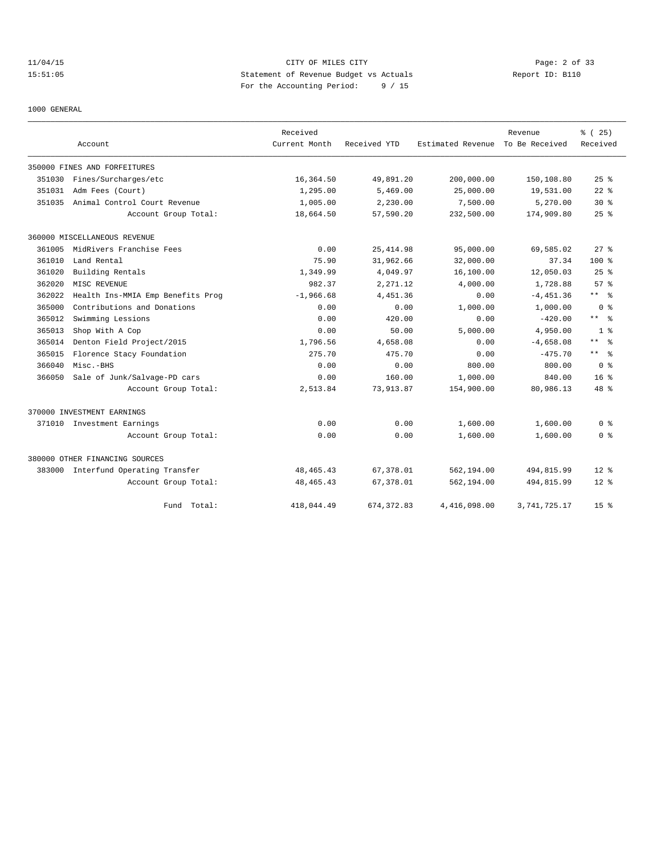11/04/15 CITY OF MILES CITY Page: 2 of 33 15:51:05 Statement of Revenue Budget vs Actuals Report ID: B110 For the Accounting Period: 9 / 15

1000 GENERAL

|        |                                     | Received      |              |                                  | Revenue      | % (25)             |
|--------|-------------------------------------|---------------|--------------|----------------------------------|--------------|--------------------|
|        | Account                             | Current Month | Received YTD | Estimated Revenue To Be Received |              | Received           |
|        | 350000 FINES AND FORFEITURES        |               |              |                                  |              |                    |
| 351030 | Fines/Surcharges/etc                | 16,364.50     | 49,891.20    | 200,000.00                       | 150,108.80   | $25$ $\frac{6}{5}$ |
| 351031 | Adm Fees (Court)                    | 1,295.00      | 5,469.00     | 25,000.00                        | 19,531.00    | $22$ %             |
| 351035 | Animal Control Court Revenue        | 1,005.00      | 2,230.00     | 7,500.00                         | 5,270.00     | $30*$              |
|        | Account Group Total:                | 18,664.50     | 57,590.20    | 232,500.00                       | 174,909.80   | 25%                |
|        | 360000 MISCELLANEOUS REVENUE        |               |              |                                  |              |                    |
| 361005 | MidRivers Franchise Fees            | 0.00          | 25, 414.98   | 95,000.00                        | 69,585.02    | $27$ $%$           |
| 361010 | Land Rental                         | 75.90         | 31,962.66    | 32,000.00                        | 37.34        | $100*$             |
| 361020 | Building Rentals                    | 1,349.99      | 4,049.97     | 16,100.00                        | 12,050.03    | 25%                |
| 362020 | MISC REVENUE                        | 982.37        | 2,271.12     | 4,000.00                         | 1,728.88     | 57%                |
| 362022 | Health Ins-MMIA Emp Benefits Prog   | $-1,966.68$   | 4,451.36     | 0.00                             | $-4,451.36$  | $***$ $\approx$    |
| 365000 | Contributions and Donations         | 0.00          | 0.00         | 1,000.00                         | 1,000.00     | 0 <sup>8</sup>     |
| 365012 | Swimming Lessions                   | 0.00          | 420.00       | 0.00                             | $-420.00$    | $***$ $ -$         |
| 365013 | Shop With A Cop                     | 0.00          | 50.00        | 5,000.00                         | 4,950.00     | 1 <sup>8</sup>     |
| 365014 | Denton Field Project/2015           | 1,796.56      | 4,658.08     | 0.00                             | $-4,658.08$  | $***$ %            |
| 365015 | Florence Stacy Foundation           | 275.70        | 475.70       | 0.00                             | $-475.70$    | $***$ $%$          |
| 366040 | Misc.-BHS                           | 0.00          | 0.00         | 800.00                           | 800.00       | 0 <sup>8</sup>     |
| 366050 | Sale of Junk/Salvage-PD cars        | 0.00          | 160.00       | 1,000.00                         | 840.00       | 16 <sup>8</sup>    |
|        | Account Group Total:                | 2,513.84      | 73,913.87    | 154,900.00                       | 80,986.13    | $48*$              |
|        | 370000 INVESTMENT EARNINGS          |               |              |                                  |              |                    |
|        | 371010 Investment Earnings          | 0.00          | 0.00         | 1,600.00                         | 1,600.00     | 0 <sup>8</sup>     |
|        | Account Group Total:                | 0.00          | 0.00         | 1,600.00                         | 1,600.00     | 0 %                |
|        | 380000 OTHER FINANCING SOURCES      |               |              |                                  |              |                    |
|        | 383000 Interfund Operating Transfer | 48, 465. 43   | 67,378.01    | 562,194.00                       | 494,815.99   | $12*$              |
|        | Account Group Total:                | 48, 465. 43   | 67,378.01    | 562,194.00                       | 494,815.99   | $12*$              |
|        | Total:<br>Fund                      | 418,044.49    | 674, 372, 83 | 4,416,098.00                     | 3,741,725.17 | 15 <sup>8</sup>    |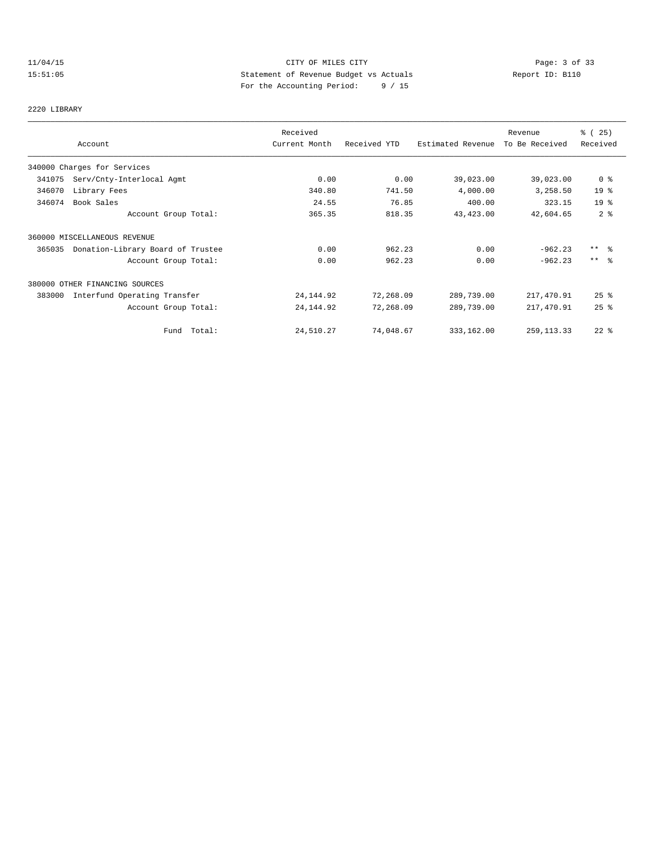# 11/04/15 CITY OF MILES CITY Page: 3 of 33 15:51:05 Statement of Revenue Budget vs Actuals Report ID: B110 For the Accounting Period: 9 / 15

## 2220 LIBRARY

|        | Account                           | Received<br>Current Month | Received YTD | Estimated Revenue | Revenue<br>To Be Received | % (25)<br>Received  |
|--------|-----------------------------------|---------------------------|--------------|-------------------|---------------------------|---------------------|
|        |                                   |                           |              |                   |                           |                     |
|        | 340000 Charges for Services       |                           |              |                   |                           |                     |
| 341075 | Serv/Cnty-Interlocal Agmt         | 0.00                      | 0.00         | 39,023.00         | 39,023.00                 | 0 <sup>8</sup>      |
| 346070 | Library Fees                      | 340.80                    | 741.50       | 4,000.00          | 3,258.50                  | 19 <sup>°</sup>     |
| 346074 | Book Sales                        | 24.55                     | 76.85        | 400.00            | 323.15                    | 19 <sup>°</sup>     |
|        | Account Group Total:              | 365.35                    | 818.35       | 43,423.00         | 42,604.65                 | 2 <sup>8</sup>      |
|        | 360000 MISCELLANEOUS REVENUE      |                           |              |                   |                           |                     |
| 365035 | Donation-Library Board of Trustee | 0.00                      | 962.23       | 0.00              | $-962.23$                 | $***$ $\frac{6}{6}$ |
|        | Account Group Total:              | 0.00                      | 962.23       | 0.00              | $-962.23$                 | $***$ $ -$          |
|        | 380000 OTHER FINANCING SOURCES    |                           |              |                   |                           |                     |
| 383000 | Interfund Operating Transfer      | 24, 144.92                | 72,268.09    | 289,739.00        | 217,470.91                | $25$ %              |
|        | Account Group Total:              | 24, 144.92                | 72,268.09    | 289,739.00        | 217,470.91                | 25%                 |
|        | Fund Total:                       | 24,510.27                 | 74,048.67    | 333,162.00        | 259, 113.33               | $22$ %              |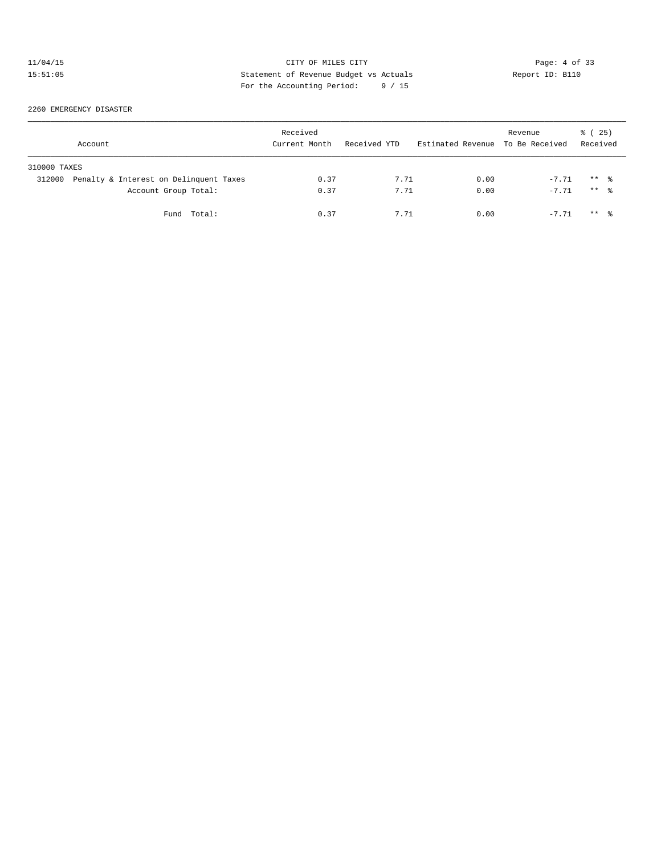# 11/04/15 CITY OF MILES CITY Page: 4 of 33<br>15:51:05 Statement of Revenue Budget vs Actuals Report ID: B110<br>15:51:05 Postake Partial Partial Computed Computer Section of Case of 25 15:51:05 Statement of Revenue Budget vs Actuals Report ID: B110 For the Accounting Period: 9 / 15

2260 EMERGENCY DISASTER

|              | Account                                | Received<br>Current Month | Received YTD | Estimated Revenue To Be Received | Revenue | 8 (25)<br>Received  |  |
|--------------|----------------------------------------|---------------------------|--------------|----------------------------------|---------|---------------------|--|
| 310000 TAXES |                                        |                           |              |                                  |         |                     |  |
| 312000       | Penalty & Interest on Delinquent Taxes | 0.37                      | 7.71         | 0.00                             | $-7.71$ | $***$ $\frac{6}{6}$ |  |
|              | Account Group Total:                   | 0.37                      | 7.71         | 0.00                             | $-7.71$ | ** 응                |  |
|              | Fund Total:                            | 0.37                      | 7.71         | 0.00                             | $-7.71$ | $***$ $\frac{6}{6}$ |  |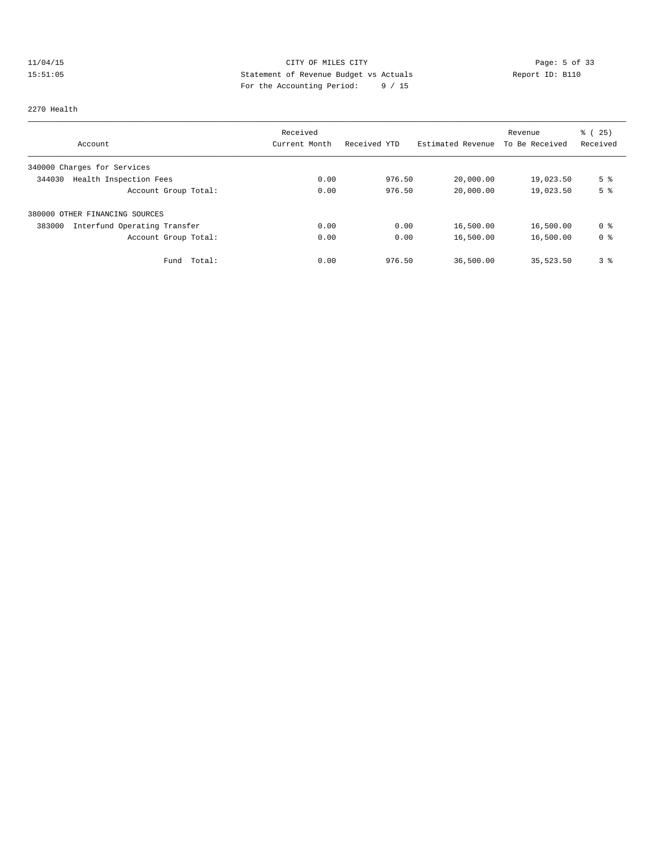# 11/04/15 CITY OF MILES CITY Page: 5 of 33 15:51:05 Statement of Revenue Budget vs Actuals Report ID: B110<br>Report ID: B110 For the Accounting Period: 9 / 15

### 2270 Health

|                                        | Received      |              |                   | Revenue        | % (25)         |
|----------------------------------------|---------------|--------------|-------------------|----------------|----------------|
| Account                                | Current Month | Received YTD | Estimated Revenue | To Be Received | Received       |
| 340000 Charges for Services            |               |              |                   |                |                |
| Health Inspection Fees<br>344030       | 0.00          | 976.50       | 20,000.00         | 19,023.50      | 5 <sup>°</sup> |
| Account Group Total:                   | 0.00          | 976.50       | 20,000.00         | 19,023.50      | 5 <sup>°</sup> |
| 380000 OTHER FINANCING SOURCES         |               |              |                   |                |                |
| Interfund Operating Transfer<br>383000 | 0.00          | 0.00         | 16,500.00         | 16,500.00      | 0 %            |
| Account Group Total:                   | 0.00          | 0.00         | 16,500.00         | 16,500.00      | 0 <sup>8</sup> |
| Total:<br>Fund                         | 0.00          | 976.50       | 36,500.00         | 35,523.50      | 3 <sup>°</sup> |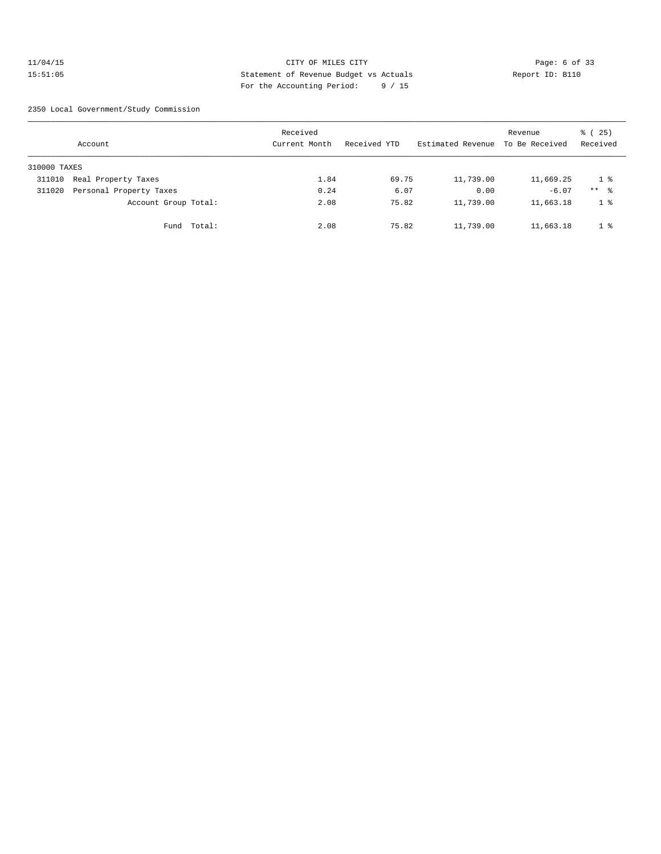## 11/04/15 CITY OF MILES CITY Page: 6 of 33 15:51:05 Statement of Revenue Budget vs Actuals Report ID: B110 For the Accounting Period: 9 / 15

2350 Local Government/Study Commission

|              | Account                 |             | Received<br>Current Month | Received YTD | Estimated Revenue | Revenue<br>To Be Received | % (25)<br>Received |
|--------------|-------------------------|-------------|---------------------------|--------------|-------------------|---------------------------|--------------------|
| 310000 TAXES |                         |             |                           |              |                   |                           |                    |
| 311010       | Real Property Taxes     |             | 1.84                      | 69.75        | 11,739.00         | 11,669.25                 | 1 %                |
| 311020       | Personal Property Taxes |             | 0.24                      | 6.07         | 0.00              | $-6.07$                   | $***$ $\approx$    |
|              | Account Group Total:    |             | 2.08                      | 75.82        | 11,739.00         | 11,663.18                 | 1 <sup>°</sup>     |
|              |                         | Fund Total: | 2.08                      | 75.82        | 11,739.00         | 11,663.18                 | 1 <sup>8</sup>     |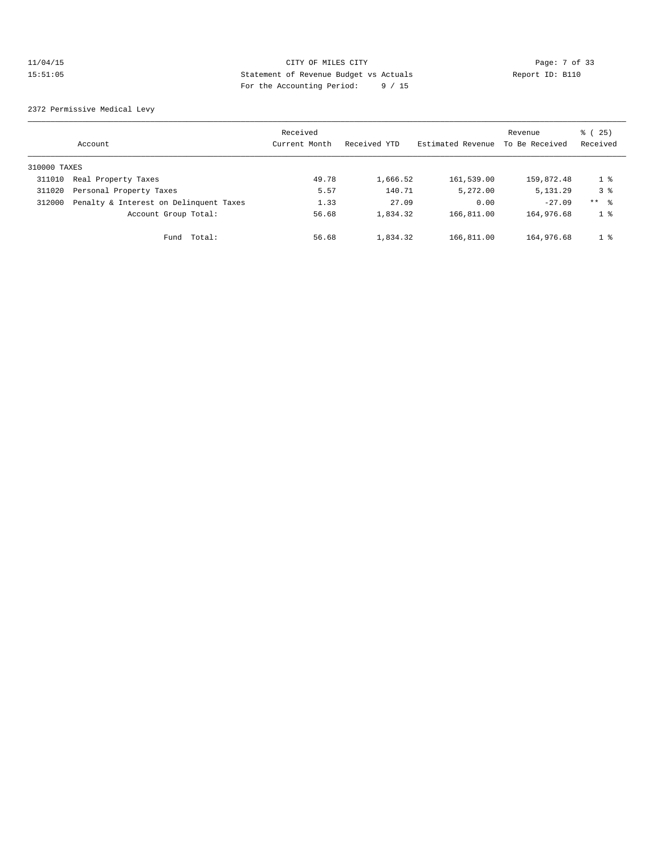## 11/04/15 CITY OF MILES CITY Page: 7 of 33 15:51:05 Statement of Revenue Budget vs Actuals Report ID: B110 For the Accounting Period: 9 / 15

2372 Permissive Medical Levy

|              | Account                                | Received<br>Current Month | Received YTD | Estimated Revenue | Revenue<br>To Be Received | % (25)<br>Received |
|--------------|----------------------------------------|---------------------------|--------------|-------------------|---------------------------|--------------------|
| 310000 TAXES |                                        |                           |              |                   |                           |                    |
| 311010       | Real Property Taxes                    | 49.78                     | 1,666.52     | 161,539.00        | 159,872.48                | 1 %                |
| 311020       | Personal Property Taxes                | 5.57                      | 140.71       | 5,272.00          | 5, 131.29                 | 3 <sup>8</sup>     |
| 312000       | Penalty & Interest on Delinquent Taxes | 1.33                      | 27.09        | 0.00              | $-27.09$                  | $***$ 8            |
|              | Account Group Total:                   | 56.68                     | 1,834.32     | 166,811.00        | 164,976.68                | 1 <sup>8</sup>     |
|              | Total:<br>Fund                         | 56.68                     | 1,834.32     | 166,811.00        | 164,976.68                | 1 <sup>8</sup>     |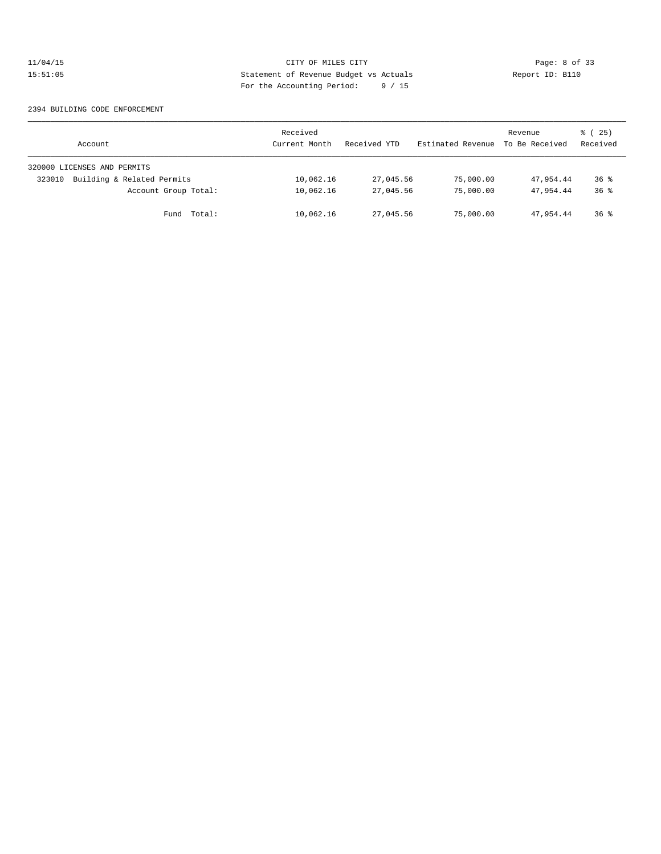# 11/04/15 CITY OF MILES CITY Page: 8 of 33<br>15:51:05 Statement of Revenue Budget vs Actuals Report ID: B110<br>15:51:05 Postable Partial Partial Computed Statement of Computer Partial Computer Partial Computer Partial Computer 15:51:05 Statement of Revenue Budget vs Actuals Report ID: B110 For the Accounting Period: 9 / 15

### 2394 BUILDING CODE ENFORCEMENT

| Account                              | Received<br>Current Month | Received YTD | Estimated Revenue | Revenue<br>To Be Received | 8 (25)<br>Received |
|--------------------------------------|---------------------------|--------------|-------------------|---------------------------|--------------------|
| 320000 LICENSES AND PERMITS          |                           |              |                   |                           |                    |
| Building & Related Permits<br>323010 | 10,062.16                 | 27,045.56    | 75,000.00         | 47,954.44                 | $36*$              |
| Account Group Total:                 | 10,062.16                 | 27,045.56    | 75,000.00         | 47,954.44                 | $36*$              |
| Fund Total:                          | 10,062.16                 | 27,045.56    | 75,000.00         | 47,954.44                 | $36*$              |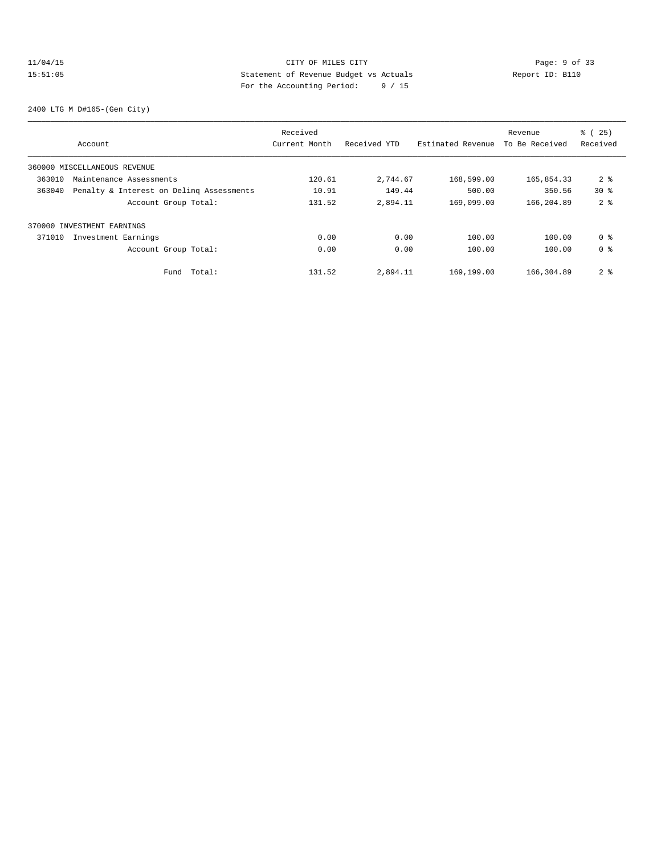## 11/04/15 CITY OF MILES CITY Page: 9 of 33 15:51:05 Statement of Revenue Budget vs Actuals Report ID: B110 For the Accounting Period: 9 / 15

2400 LTG M D#165-(Gen City)

|        |                                          | Received      |              |                   | Revenue        | % (25)          |
|--------|------------------------------------------|---------------|--------------|-------------------|----------------|-----------------|
|        | Account                                  | Current Month | Received YTD | Estimated Revenue | To Be Received | Received        |
|        | 360000 MISCELLANEOUS REVENUE             |               |              |                   |                |                 |
| 363010 | Maintenance Assessments                  | 120.61        | 2,744.67     | 168,599.00        | 165,854.33     | 2 <sub>8</sub>  |
| 363040 | Penalty & Interest on Deling Assessments | 10.91         | 149.44       | 500.00            | 350.56         | 30 <sub>8</sub> |
|        | Account Group Total:                     | 131.52        | 2,894.11     | 169,099.00        | 166,204.89     | 2 <sup>8</sup>  |
|        | 370000 INVESTMENT EARNINGS               |               |              |                   |                |                 |
| 371010 | Investment Earnings                      | 0.00          | 0.00         | 100.00            | 100.00         | 0 <sup>8</sup>  |
|        | Account Group Total:                     | 0.00          | 0.00         | 100.00            | 100.00         | 0 <sup>8</sup>  |
|        | Total:<br>Fund                           | 131.52        | 2,894.11     | 169,199.00        | 166,304.89     | 2 <sub>8</sub>  |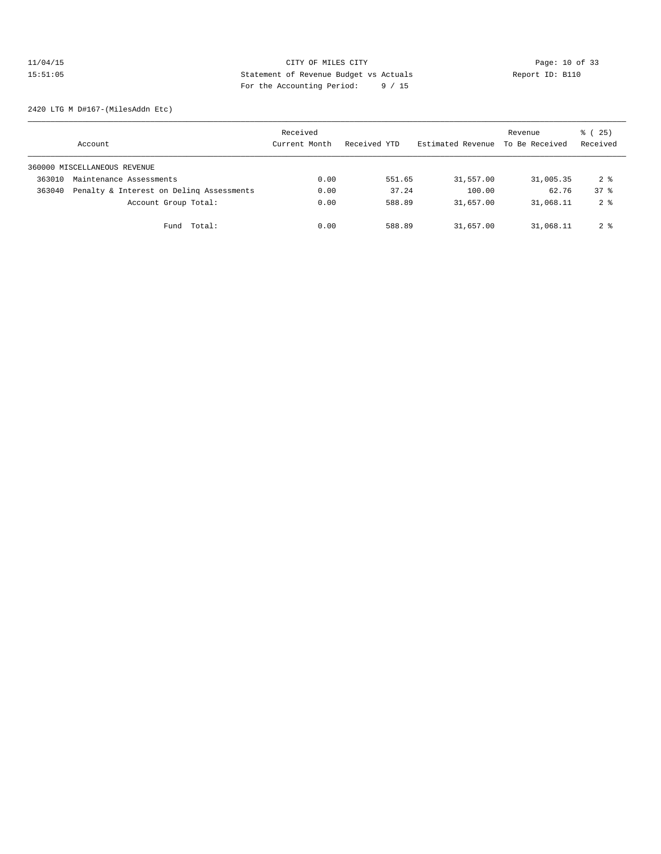# 11/04/15 Page: 10 of 33 15:51:05 Statement of Revenue Budget vs Actuals Report ID: B110 For the Accounting Period: 9 / 15

2420 LTG M D#167-(MilesAddn Etc)

|        | Account                                  | Received<br>Current Month | Received YTD | Estimated Revenue | Revenue<br>To Be Received | ៖ (25)<br>Received   |
|--------|------------------------------------------|---------------------------|--------------|-------------------|---------------------------|----------------------|
|        | 360000 MISCELLANEOUS REVENUE             |                           |              |                   |                           |                      |
| 363010 | Maintenance Assessments                  | 0.00                      | 551.65       | 31,557.00         | 31,005.35                 | $2 \text{ }^{\circ}$ |
| 363040 | Penalty & Interest on Deling Assessments | 0.00                      | 37.24        | 100.00            | 62.76                     | 378                  |
|        | Account Group Total:                     | 0.00                      | 588.89       | 31,657.00         | 31,068.11                 | 2 <sub>8</sub>       |
|        | Fund Total:                              | 0.00                      | 588.89       | 31,657.00         | 31,068.11                 | $2 \text{ }^{\circ}$ |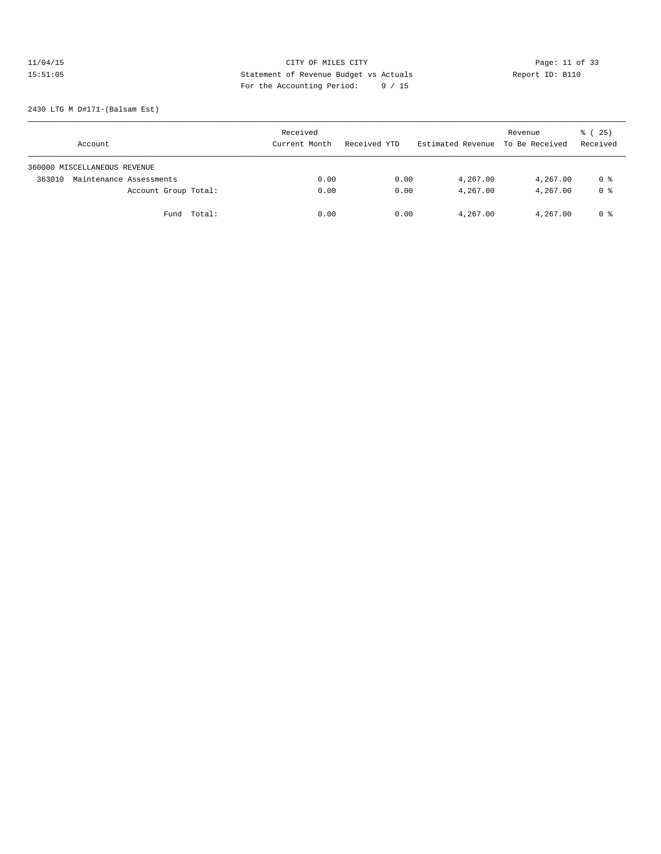# 11/04/15 Page: 11 of 33 15:51:05 Statement of Revenue Budget vs Actuals Report ID: B110<br>To the Accounting Boxied: 9 / 15 For the Accounting Period: 9 / 15

2430 LTG M D#171-(Balsam Est)

| Account                           | Received<br>Current Month | Received YTD | Estimated Revenue To Be Received | Revenue  | % (25)<br>Received |
|-----------------------------------|---------------------------|--------------|----------------------------------|----------|--------------------|
| 360000 MISCELLANEOUS REVENUE      |                           |              |                                  |          |                    |
| Maintenance Assessments<br>363010 | 0.00                      | 0.00         | 4,267.00                         | 4,267.00 | 0 %                |
| Account Group Total:              | 0.00                      | 0.00         | 4,267.00                         | 4,267.00 | 0 <sup>8</sup>     |
| Fund Total:                       | 0.00                      | 0.00         | 4,267.00                         | 4,267.00 | 0 %                |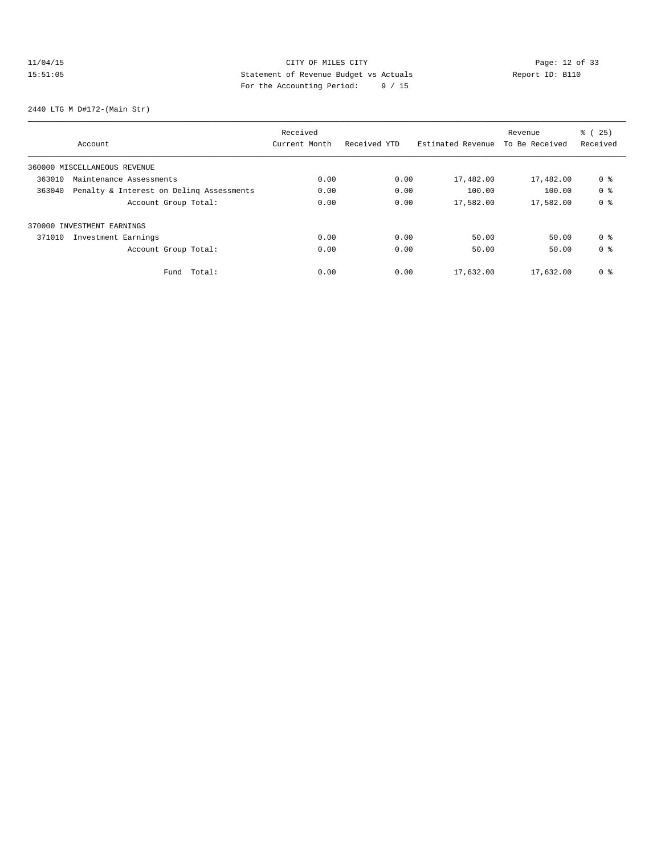# 11/04/15 Page: 12 of 33 15:51:05 Statement of Revenue Budget vs Actuals Report ID: B110<br>To the Accounting Boxied: 9 / 15 For the Accounting Period: 9 / 15

2440 LTG M D#172-(Main Str)

|        | Received                                 |               |              |                   | Revenue        | % (25)         |
|--------|------------------------------------------|---------------|--------------|-------------------|----------------|----------------|
|        | Account                                  | Current Month | Received YTD | Estimated Revenue | To Be Received | Received       |
|        | 360000 MISCELLANEOUS REVENUE             |               |              |                   |                |                |
| 363010 | Maintenance Assessments                  | 0.00          | 0.00         | 17,482.00         | 17,482.00      | 0 <sup>8</sup> |
| 363040 | Penalty & Interest on Deling Assessments | 0.00          | 0.00         | 100.00            | 100.00         | 0 <sup>8</sup> |
|        | Account Group Total:                     | 0.00          | 0.00         | 17,582.00         | 17,582.00      | 0 <sup>8</sup> |
|        | 370000 INVESTMENT EARNINGS               |               |              |                   |                |                |
| 371010 | Investment Earnings                      | 0.00          | 0.00         | 50.00             | 50.00          | 0 <sup>8</sup> |
|        | Account Group Total:                     | 0.00          | 0.00         | 50.00             | 50.00          | 0 <sup>8</sup> |
|        | Total:<br>Fund                           | 0.00          | 0.00         | 17,632.00         | 17,632.00      | 0 <sup>8</sup> |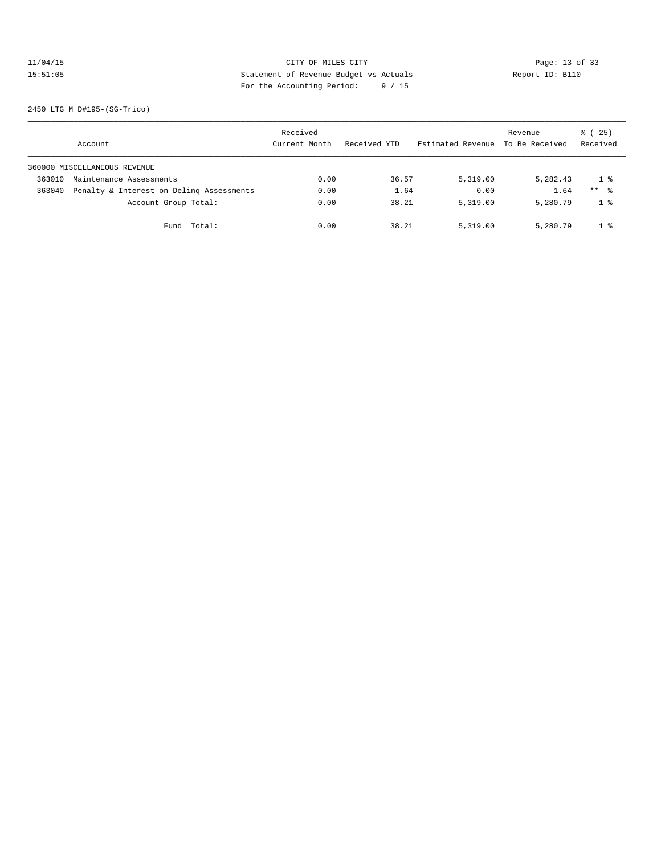# 11/04/15 Page: 13 of 33 15:51:05 Statement of Revenue Budget vs Actuals Report ID: B110 For the Accounting Period: 9 / 15

2450 LTG M D#195-(SG-Trico)

|        | Account                                  | Received<br>Current Month | Received YTD | Estimated Revenue | Revenue<br>To Be Received | % (25)<br>Received  |
|--------|------------------------------------------|---------------------------|--------------|-------------------|---------------------------|---------------------|
|        | 360000 MISCELLANEOUS REVENUE             |                           |              |                   |                           |                     |
| 363010 | Maintenance Assessments                  | 0.00                      | 36.57        | 5,319.00          | 5,282.43                  | 1 %                 |
| 363040 | Penalty & Interest on Deling Assessments | 0.00                      | 1.64         | 0.00              | $-1.64$                   | $***$ $\frac{6}{5}$ |
|        | Account Group Total:                     | 0.00                      | 38.21        | 5,319.00          | 5,280.79                  | 1 <sup>8</sup>      |
|        | Total:<br>Fund                           | 0.00                      | 38.21        | 5,319.00          | 5,280.79                  | 1 <sup>8</sup>      |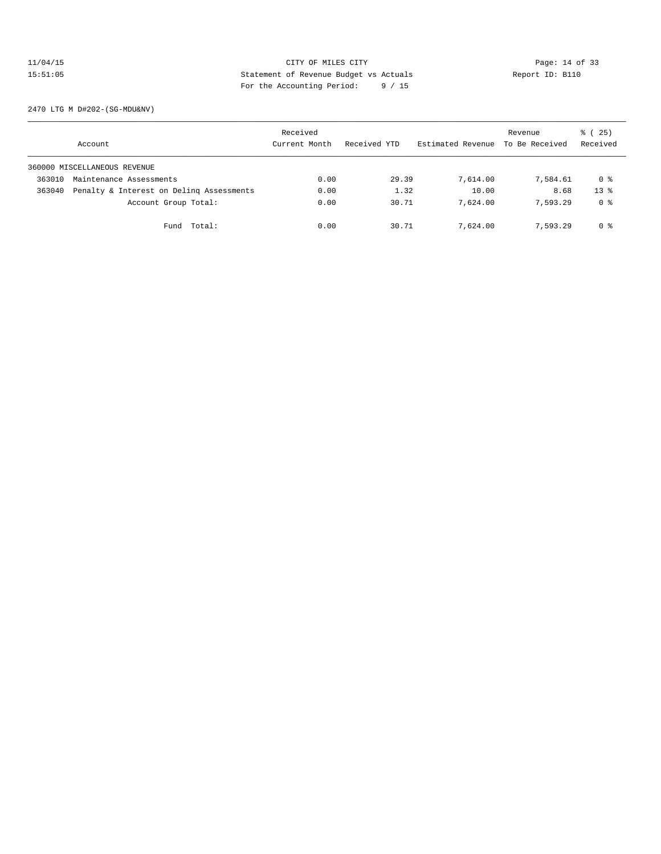## 11/04/15 Page: 14 of 33 15:51:05 Statement of Revenue Budget vs Actuals Report ID: B110<br>Report ID: B110 For the Accounting Period: 9 / 15

2470 LTG M D#202-(SG-MDU&NV)

|        | Account                                  | Received<br>Current Month | Received YTD | Estimated Revenue | Revenue<br>To Be Received | % (25)<br>Received |
|--------|------------------------------------------|---------------------------|--------------|-------------------|---------------------------|--------------------|
|        | 360000 MISCELLANEOUS REVENUE             |                           |              |                   |                           |                    |
| 363010 | Maintenance Assessments                  | 0.00                      | 29.39        | 7,614.00          | 7,584.61                  | 0 %                |
| 363040 | Penalty & Interest on Deling Assessments | 0.00                      | 1.32         | 10.00             | 8.68                      | $13*$              |
|        | Account Group Total:                     | 0.00                      | 30.71        | 7,624.00          | 7.593.29                  | 0 %                |
|        | Total:<br>Fund                           | 0.00                      | 30.71        | 7,624.00          | 7.593.29                  | 0 %                |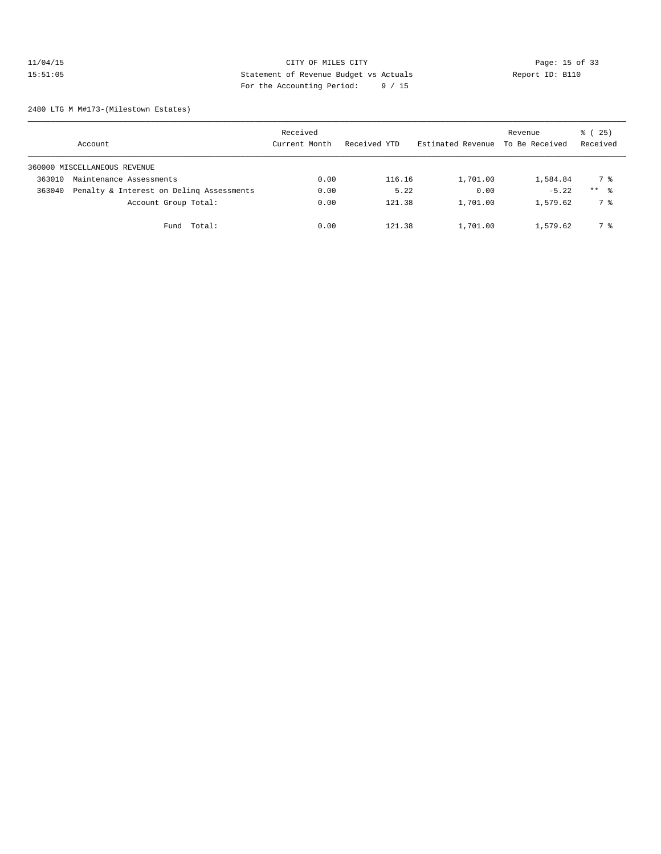## 11/04/15 CITY OF MILES CITY<br>15:51:05 21 Statement of Revenue Budget vs Actuals<br>15:51:05 22 Statement of Revenue Budget vs Actuals 15:51:05 Statement of Revenue Budget vs Actuals Report ID: B110 For the Accounting Period: 9 / 15

2480 LTG M M#173-(Milestown Estates)

|        | Account                                  | Received<br>Current Month | Received YTD | Estimated Revenue | Revenue<br>To Be Received | % (25)<br>Received  |
|--------|------------------------------------------|---------------------------|--------------|-------------------|---------------------------|---------------------|
|        | 360000 MISCELLANEOUS REVENUE             |                           |              |                   |                           |                     |
| 363010 | Maintenance Assessments                  | 0.00                      | 116.16       | 1,701.00          | 1,584.84                  | 7 %                 |
| 363040 | Penalty & Interest on Deling Assessments | 0.00                      | 5.22         | 0.00              | $-5.22$                   | $***$ $\frac{6}{3}$ |
|        | Account Group Total:                     | 0.00                      | 121.38       | 1,701.00          | 1,579.62                  | 7 %                 |
|        | Total:<br>Fund                           | 0.00                      | 121.38       | 1,701.00          | 1,579.62                  | 7 %                 |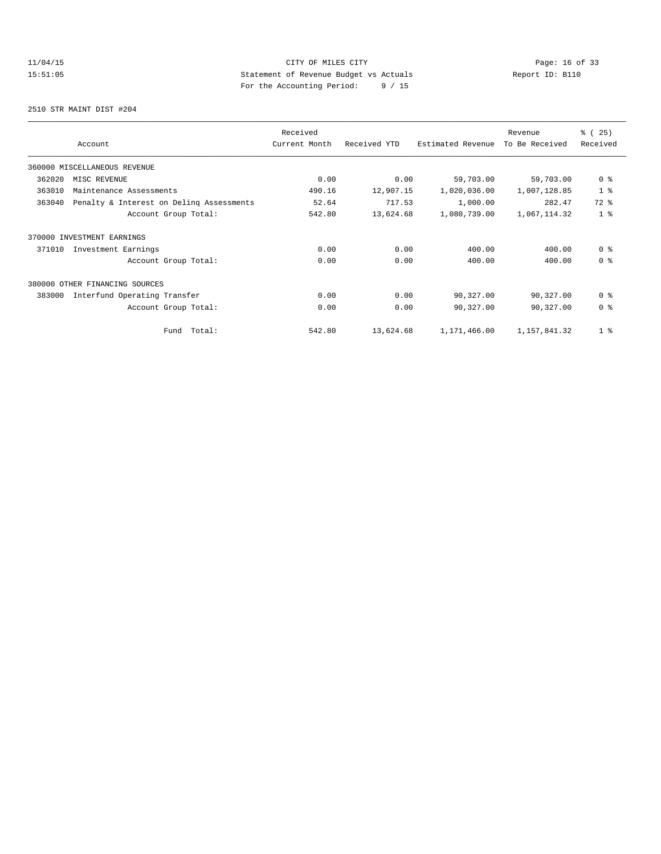# 11/04/15 Page: 16 of 33 15:51:05 Statement of Revenue Budget vs Actuals Report ID: B110<br>Report ID: B110 For the Accounting Period: 9 / 15

2510 STR MAINT DIST #204

|        |                                          | Received      |              |                   | Revenue        | % (25)         |
|--------|------------------------------------------|---------------|--------------|-------------------|----------------|----------------|
|        | Account                                  | Current Month | Received YTD | Estimated Revenue | To Be Received | Received       |
|        | 360000 MISCELLANEOUS REVENUE             |               |              |                   |                |                |
| 362020 | MISC REVENUE                             | 0.00          | 0.00         | 59,703.00         | 59,703.00      | 0 <sup>8</sup> |
| 363010 | Maintenance Assessments                  | 490.16        | 12,907.15    | 1,020,036.00      | 1,007,128.85   | 1 <sup>8</sup> |
| 363040 | Penalty & Interest on Deling Assessments | 52.64         | 717.53       | 1,000.00          | 282.47         | $72$ $%$       |
|        | Account Group Total:                     | 542.80        | 13,624.68    | 1,080,739.00      | 1,067,114.32   | 1 <sup>°</sup> |
|        | 370000 INVESTMENT EARNINGS               |               |              |                   |                |                |
| 371010 | Investment Earnings                      | 0.00          | 0.00         | 400.00            | 400.00         | 0 <sup>8</sup> |
|        | Account Group Total:                     | 0.00          | 0.00         | 400.00            | 400.00         | 0 <sup>8</sup> |
|        | 380000 OTHER FINANCING SOURCES           |               |              |                   |                |                |
| 383000 | Interfund Operating Transfer             | 0.00          | 0.00         | 90,327.00         | 90,327.00      | 0 <sup>8</sup> |
|        | Account Group Total:                     | 0.00          | 0.00         | 90,327.00         | 90,327.00      | 0 <sup>8</sup> |
|        | Total:<br>Fund                           | 542.80        | 13,624.68    | 1,171,466.00      | 1,157,841.32   | 1 <sub>8</sub> |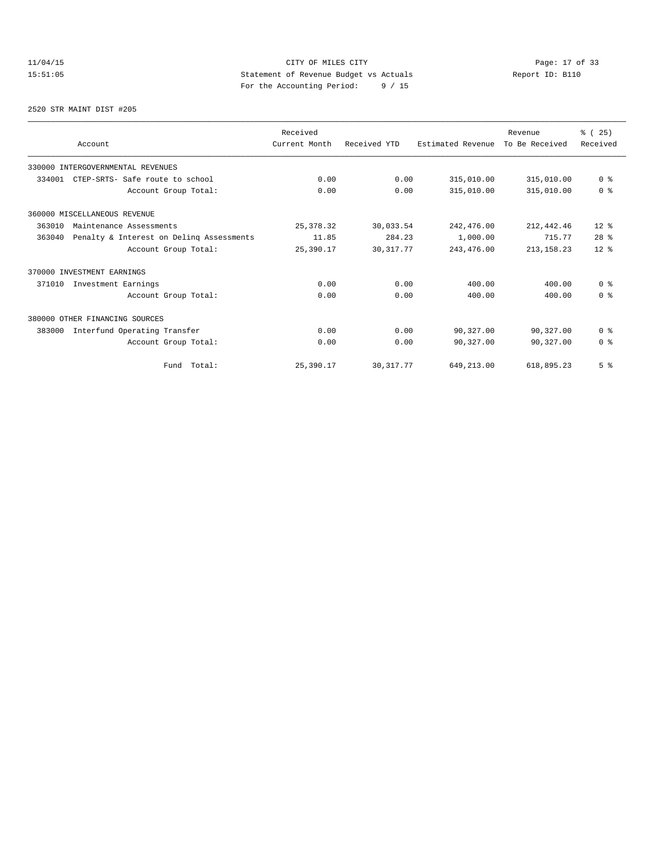# 11/04/15 Page: 17 of 33 15:51:05 Statement of Revenue Budget vs Actuals Report ID: B110<br>To the Accounting Boxied: 9 / 15 For the Accounting Period: 9 / 15

#### 2520 STR MAINT DIST #205

| Account                                            | Received<br>Current Month | Received YTD | Estimated Revenue | Revenue<br>To Be Received | % (25)<br>Received      |
|----------------------------------------------------|---------------------------|--------------|-------------------|---------------------------|-------------------------|
| 330000 INTERGOVERNMENTAL REVENUES                  |                           |              |                   |                           |                         |
| 334001<br>CTEP-SRTS- Safe route to school          | 0.00                      | 0.00         | 315,010.00        | 315,010.00                | 0 <sup>8</sup>          |
| Account Group Total:                               | 0.00                      | 0.00         | 315,010.00        | 315,010.00                | 0 <sup>8</sup>          |
| 360000 MISCELLANEOUS REVENUE                       |                           |              |                   |                           |                         |
| 363010<br>Maintenance Assessments                  | 25, 378.32                | 30,033.54    | 242,476.00        | 212, 442.46               | $12*$                   |
| 363040<br>Penalty & Interest on Deling Assessments | 11.85                     | 284.23       | 1,000.00          | 715.77                    | $28$ %                  |
| Account Group Total:                               | 25,390.17                 | 30, 317.77   | 243, 476.00       | 213, 158. 23              | $12*$                   |
| 370000 INVESTMENT EARNINGS                         |                           |              |                   |                           |                         |
| 371010<br>Investment Earnings                      | 0.00                      | 0.00         | 400.00            | 400.00                    | 0 <sup>8</sup>          |
| Account Group Total:                               | 0.00                      | 0.00         | 400.00            | 400.00                    | 0 <sup>8</sup>          |
| 380000 OTHER FINANCING SOURCES                     |                           |              |                   |                           |                         |
| Interfund Operating Transfer<br>383000             | 0.00                      | 0.00         | 90,327.00         | 90,327.00                 | 0 <sup>8</sup>          |
| Account Group Total:                               | 0.00                      | 0.00         | 90,327.00         | 90,327.00                 | $0 \text{ }$ $\text{ }$ |
| Fund Total:                                        | 25,390.17                 | 30, 317.77   | 649,213.00        | 618,895.23                | 5 <sup>8</sup>          |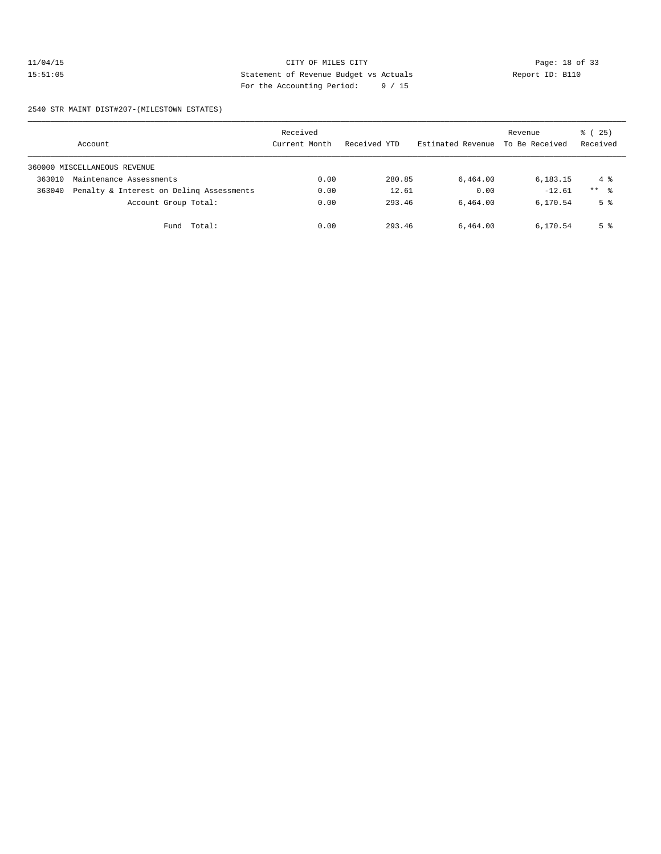## 11/04/15 Page: 18 of 33 15:51:05 Statement of Revenue Budget vs Actuals Report ID: B110 For the Accounting Period: 9 / 15

2540 STR MAINT DIST#207-(MILESTOWN ESTATES)

|        | Account                                  | Received<br>Current Month | Received YTD | Estimated Revenue | Revenue<br>To Be Received | % (25)<br>Received |
|--------|------------------------------------------|---------------------------|--------------|-------------------|---------------------------|--------------------|
|        | 360000 MISCELLANEOUS REVENUE             |                           |              |                   |                           |                    |
| 363010 | Maintenance Assessments                  | 0.00                      | 280.85       | 6,464.00          | 6,183.15                  | 4 %                |
| 363040 | Penalty & Interest on Deling Assessments | 0.00                      | 12.61        | 0.00              | $-12.61$                  | $***$ %            |
|        | Account Group Total:                     | 0.00                      | 293.46       | 6,464.00          | 6,170.54                  | 5 <sup>°</sup>     |
|        | Total:<br>Fund                           | 0.00                      | 293.46       | 6,464.00          | 6,170.54                  | 5 <sup>°</sup>     |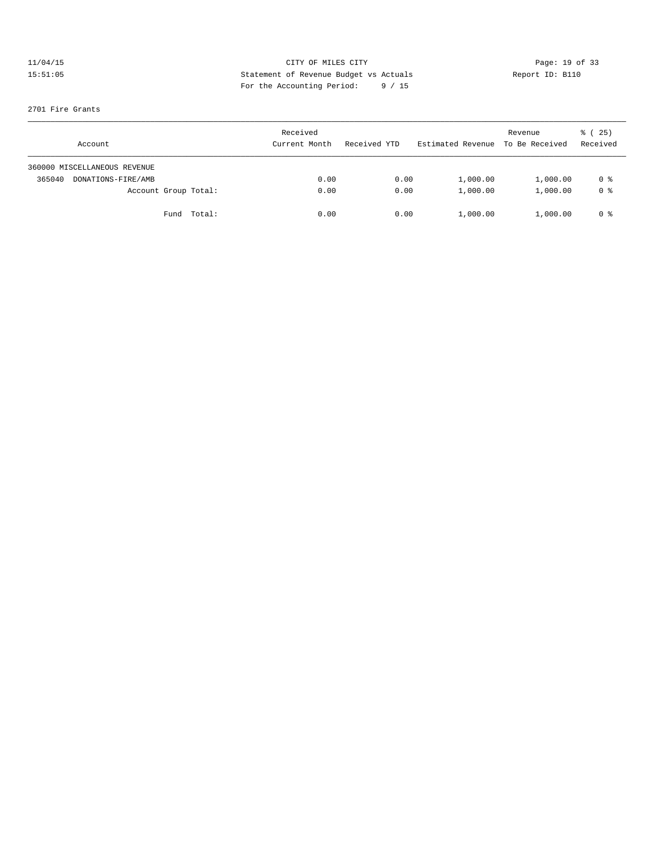# 11/04/15 CITY OF MILES CITY<br>15:51:05 21 Statement of Revenue Budget vs Actuals<br>15:51:05 22 Statement of Revenue Budget vs Actuals 15:51:05 Statement of Revenue Budget vs Actuals Report ID: B110 For the Accounting Period: 9 / 15

### 2701 Fire Grants

| Account                      | Received<br>Current Month | Received YTD | Estimated Revenue To Be Received | Revenue  | % (25)<br>Received |
|------------------------------|---------------------------|--------------|----------------------------------|----------|--------------------|
| 360000 MISCELLANEOUS REVENUE |                           |              |                                  |          |                    |
| 365040<br>DONATIONS-FIRE/AMB | 0.00                      | 0.00         | 1,000.00                         | 1,000.00 | 0 %                |
| Account Group Total:         | 0.00                      | 0.00         | 1,000.00                         | 1,000.00 | 0 <sup>8</sup>     |
| Fund Total:                  | 0.00                      | 0.00         | 1,000.00                         | 1,000.00 | 0 %                |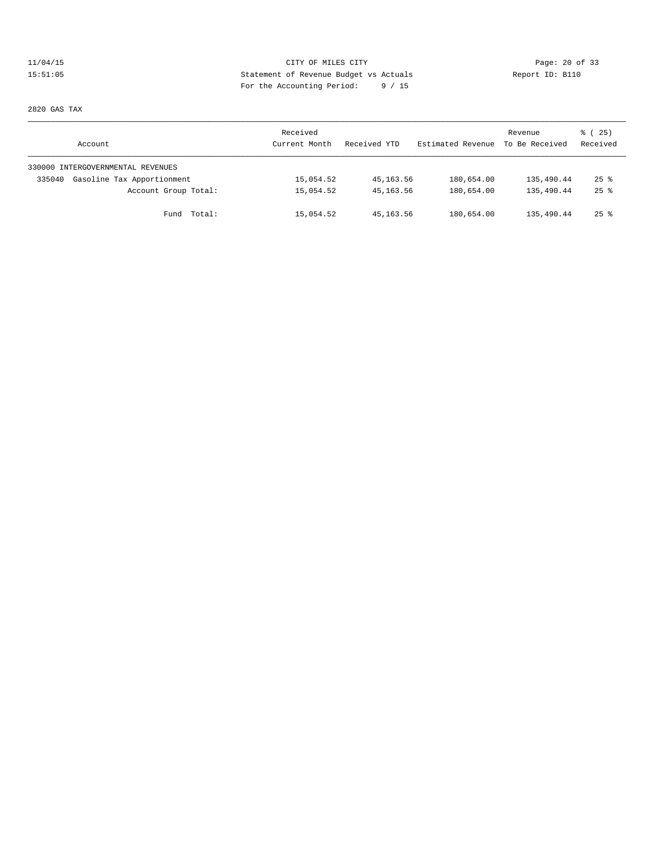# 11/04/15 Page: 20 of 33 15:51:05 Statement of Revenue Budget vs Actuals Report ID: B110 For the Accounting Period: 9 / 15

2820 GAS TAX

| Account                              | Received<br>Current Month | Received YTD | Estimated Revenue | Revenue<br>To Be Received | 8 (25)<br>Received |
|--------------------------------------|---------------------------|--------------|-------------------|---------------------------|--------------------|
| 330000 INTERGOVERNMENTAL REVENUES    |                           |              |                   |                           |                    |
| Gasoline Tax Apportionment<br>335040 | 15,054.52                 | 45, 163. 56  | 180,654.00        | 135,490.44                | $25$ $%$           |
| Account Group Total:                 | 15,054.52                 | 45, 163.56   | 180,654.00        | 135,490.44                | $25$ $\frac{6}{3}$ |
| Fund Total:                          | 15,054.52                 | 45,163.56    | 180,654.00        | 135,490.44                | $25$ $\frac{6}{3}$ |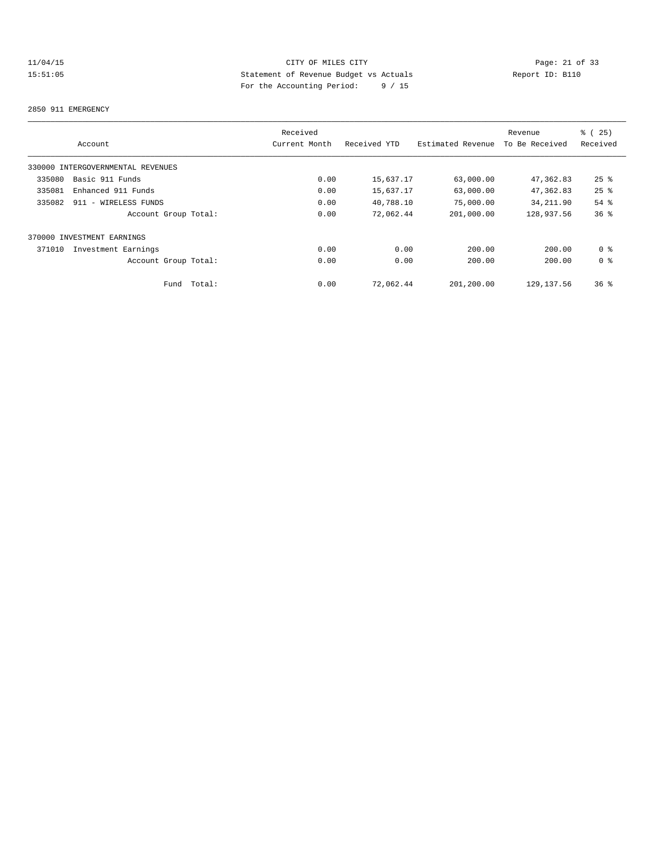# 11/04/15 CITY OF MILES CITY<br>15:51:05 21 of 33<br>15:51:05 20 External particle page: 21 of 33<br>20 External particle page: 21 of 25<br>20 External particle page: 20 APC 20 External page: 21<br>20 Apport ID: B110 15:51:05 Statement of Revenue Budget vs Actuals Report ID: B110 For the Accounting Period: 9 / 15

#### 2850 911 EMERGENCY

|                                   | Received      |              |                   | Revenue        | 8 (25)             |
|-----------------------------------|---------------|--------------|-------------------|----------------|--------------------|
| Account                           | Current Month | Received YTD | Estimated Revenue | To Be Received | Received           |
| 330000 INTERGOVERNMENTAL REVENUES |               |              |                   |                |                    |
| Basic 911 Funds<br>335080         | 0.00          | 15,637.17    | 63,000.00         | 47,362.83      | $25$ $\frac{6}{5}$ |
| 335081<br>Enhanced 911 Funds      | 0.00          | 15,637.17    | 63,000.00         | 47,362.83      | $25$ $%$           |
| 335082<br>911 - WIRELESS FUNDS    | 0.00          | 40,788.10    | 75,000.00         | 34, 211.90     | 54 %               |
| Account Group Total:              | 0.00          | 72,062.44    | 201,000.00        | 128,937.56     | 36 <sup>8</sup>    |
| 370000 INVESTMENT EARNINGS        |               |              |                   |                |                    |
| 371010<br>Investment Earnings     | 0.00          | 0.00         | 200.00            | 200.00         | 0 <sup>8</sup>     |
| Account Group Total:              | 0.00          | 0.00         | 200.00            | 200.00         | 0 <sup>8</sup>     |
| Total:<br>Fund                    | 0.00          | 72.062.44    | 201,200.00        | 129, 137.56    | 36 <sup>8</sup>    |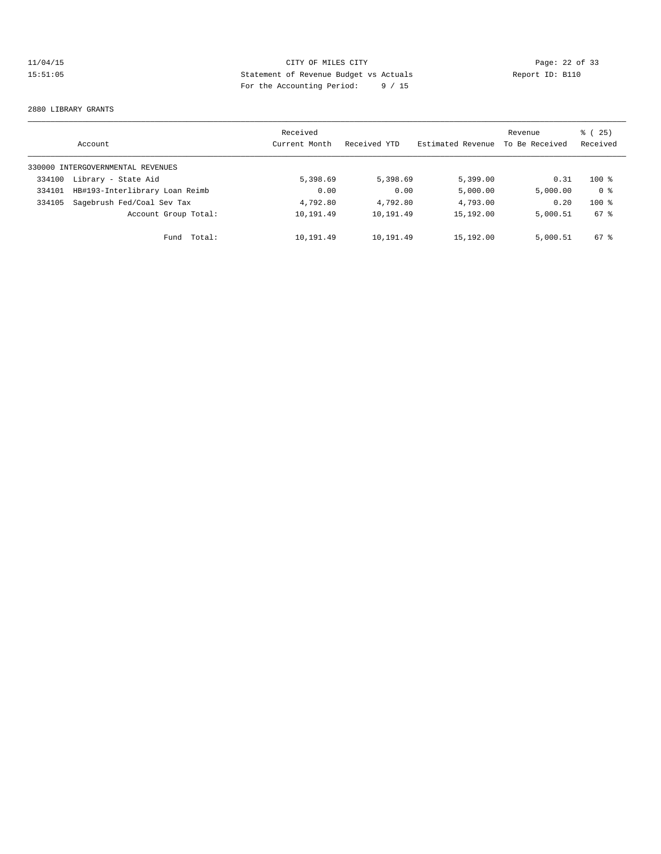# 11/04/15 CITY OF MILES CITY<br>15:51:05 22 of 33<br>15:51:05 21 CITY Statement of Revenue Budget vs Actuals<br>15:51:05 21 CITY Pays the Accounting Duried: 0.4.15 15:51:05 Statement of Revenue Budget vs Actuals Report ID: B110 For the Accounting Period: 9 / 15

#### 2880 LIBRARY GRANTS

|        | Account                           | Received<br>Current Month | Received YTD | Estimated Revenue | Revenue<br>To Be Received | 25)<br>ී (<br>Received |
|--------|-----------------------------------|---------------------------|--------------|-------------------|---------------------------|------------------------|
|        | 330000 INTERGOVERNMENTAL REVENUES |                           |              |                   |                           |                        |
| 334100 | Library - State Aid               | 5,398.69                  | 5,398.69     | 5,399.00          | 0.31                      | $100*$                 |
| 334101 | HB#193-Interlibrary Loan Reimb    | 0.00                      | 0.00         | 5,000.00          | 5,000.00                  | 0 <sup>8</sup>         |
| 334105 | Sagebrush Fed/Coal Sev Tax        | 4,792.80                  | 4,792.80     | 4,793.00          | 0.20                      | $100*$                 |
|        | Account Group Total:              | 10,191.49                 | 10,191.49    | 15,192.00         | 5,000.51                  | 67 %                   |
|        | Total:<br>Fund                    | 10,191.49                 | 10,191.49    | 15,192.00         | 5,000.51                  | 67 %                   |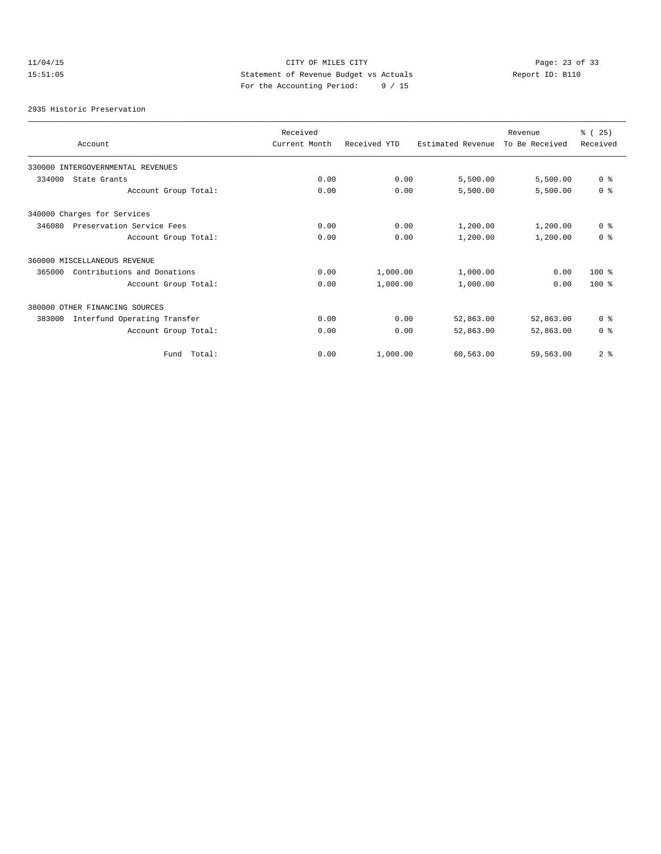# 11/04/15 CITY OF MILES CITY Page: 23 of 33 15:51:05 Statement of Revenue Budget vs Actuals Report ID: B110 For the Accounting Period: 9 / 15

2935 Historic Preservation

| Account                                | Received<br>Current Month | Received YTD | Estimated Revenue | Revenue<br>To Be Received | % (25)<br>Received |
|----------------------------------------|---------------------------|--------------|-------------------|---------------------------|--------------------|
| 330000 INTERGOVERNMENTAL REVENUES      |                           |              |                   |                           |                    |
| 334000<br>State Grants                 | 0.00                      | 0.00         | 5,500.00          | 5,500.00                  | 0 <sup>8</sup>     |
| Account Group Total:                   | 0.00                      | 0.00         | 5,500.00          | 5,500.00                  | 0 <sup>8</sup>     |
| 340000 Charges for Services            |                           |              |                   |                           |                    |
| Preservation Service Fees<br>346080    | 0.00                      | 0.00         | 1,200.00          | 1,200.00                  | 0 <sup>8</sup>     |
| Account Group Total:                   | 0.00                      | 0.00         | 1,200.00          | 1,200.00                  | 0 <sup>8</sup>     |
| 360000 MISCELLANEOUS REVENUE           |                           |              |                   |                           |                    |
| Contributions and Donations<br>365000  | 0.00                      | 1,000.00     | 1,000.00          | 0.00                      | $100*$             |
| Account Group Total:                   | 0.00                      | 1,000.00     | 1,000.00          | 0.00                      | $100*$             |
| 380000 OTHER FINANCING SOURCES         |                           |              |                   |                           |                    |
| 383000<br>Interfund Operating Transfer | 0.00                      | 0.00         | 52,863.00         | 52,863.00                 | 0 <sup>8</sup>     |
| Account Group Total:                   | 0.00                      | 0.00         | 52,863.00         | 52,863.00                 | 0 <sup>8</sup>     |
| Total:<br>Fund                         | 0.00                      | 1,000.00     | 60,563.00         | 59,563.00                 | 2 <sup>°</sup>     |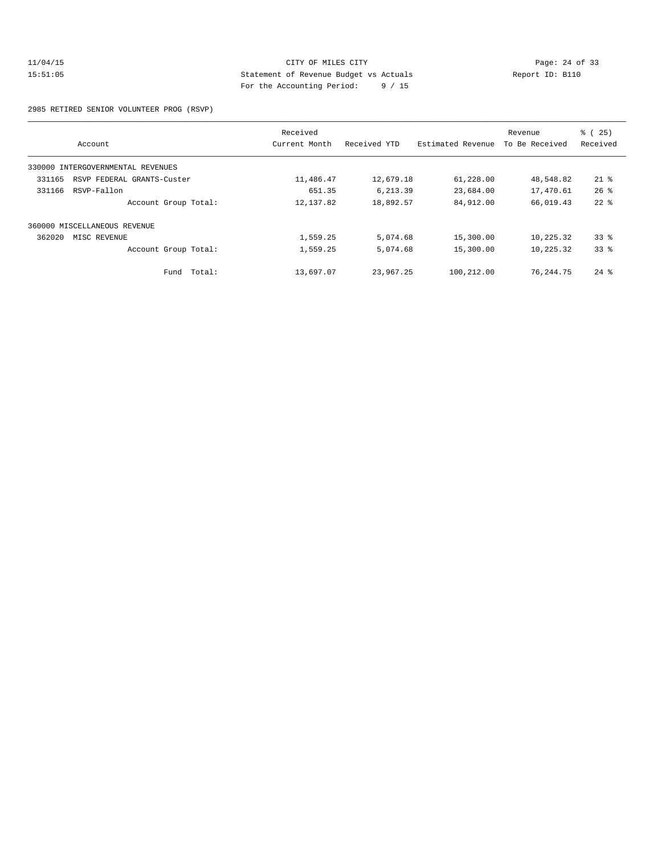## 11/04/15 CITY OF MILES CITY<br>15:51:05 24 of 33<br>15:51:05 25 CITY Statement of Revenue Budget vs Actuals<br>2011 2011 15:51:05 Statement of Revenue Budget vs Actuals Report ID: B110 For the Accounting Period: 9 / 15

2985 RETIRED SENIOR VOLUNTEER PROG (RSVP)

|                                      | Received      |              |                   | Revenue        | % (25)             |
|--------------------------------------|---------------|--------------|-------------------|----------------|--------------------|
| Account                              | Current Month | Received YTD | Estimated Revenue | To Be Received | Received           |
| 330000 INTERGOVERNMENTAL REVENUES    |               |              |                   |                |                    |
| 331165<br>RSVP FEDERAL GRANTS-Custer | 11,486.47     | 12,679.18    | 61,228.00         | 48,548.82      | $21$ %             |
| 331166<br>RSVP-Fallon                | 651.35        | 6,213.39     | 23,684.00         | 17,470.61      | 26%                |
| Account Group Total:                 | 12, 137.82    | 18,892.57    | 84,912.00         | 66,019.43      | $22$ $%$           |
| 360000 MISCELLANEOUS REVENUE         |               |              |                   |                |                    |
| 362020<br>MISC REVENUE               | 1,559.25      | 5,074.68     | 15,300.00         | 10,225.32      | $33$ $%$           |
| Account Group Total:                 | 1,559.25      | 5,074.68     | 15,300.00         | 10,225.32      | 33%                |
| Total:<br>Fund                       | 13,697.07     | 23,967.25    | 100,212.00        | 76,244.75      | $24$ $\frac{6}{3}$ |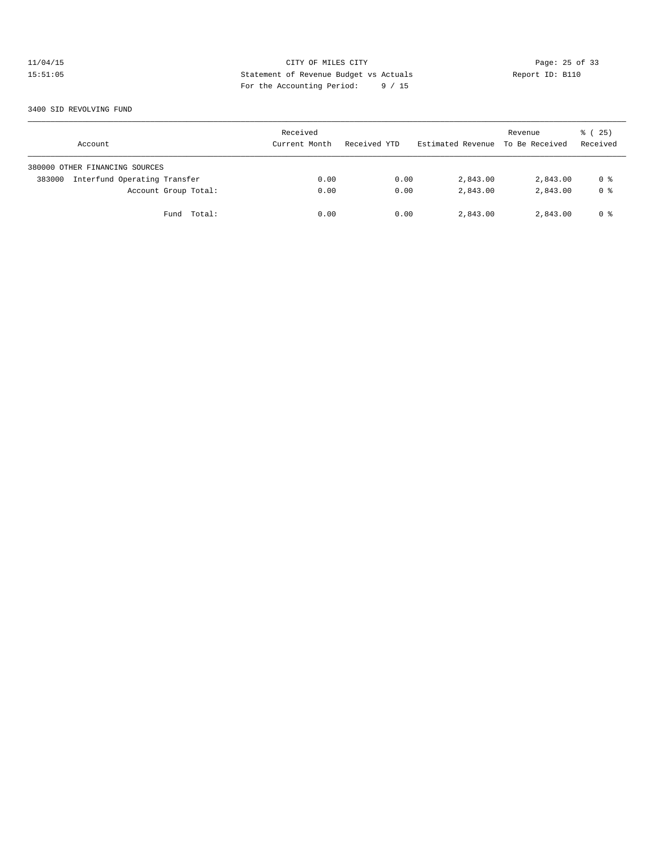# 11/04/15 CITY OF MILES CITY<br>15:51:05 25 Of 33<br>15:51:05 25 Of 33<br>25 Of the Morenuting Device: 2011 15:51:05 Statement of Revenue Budget vs Actuals Report ID: B110 For the Accounting Period: 9 / 15

3400 SID REVOLVING FUND

| Account                                | Received<br>Current Month | Received YTD | Estimated Revenue To Be Received | Revenue  | 25)<br>ී (<br>Received |
|----------------------------------------|---------------------------|--------------|----------------------------------|----------|------------------------|
| 380000 OTHER FINANCING SOURCES         |                           |              |                                  |          |                        |
| Interfund Operating Transfer<br>383000 | 0.00                      | 0.00         | 2,843.00                         | 2,843.00 | 0 %                    |
| Account Group Total:                   | 0.00                      | 0.00         | 2,843.00                         | 2,843.00 | 0 <sup>8</sup>         |
| Total:<br>Fund                         | 0.00                      | 0.00         | 2,843.00                         | 2,843.00 | 0 %                    |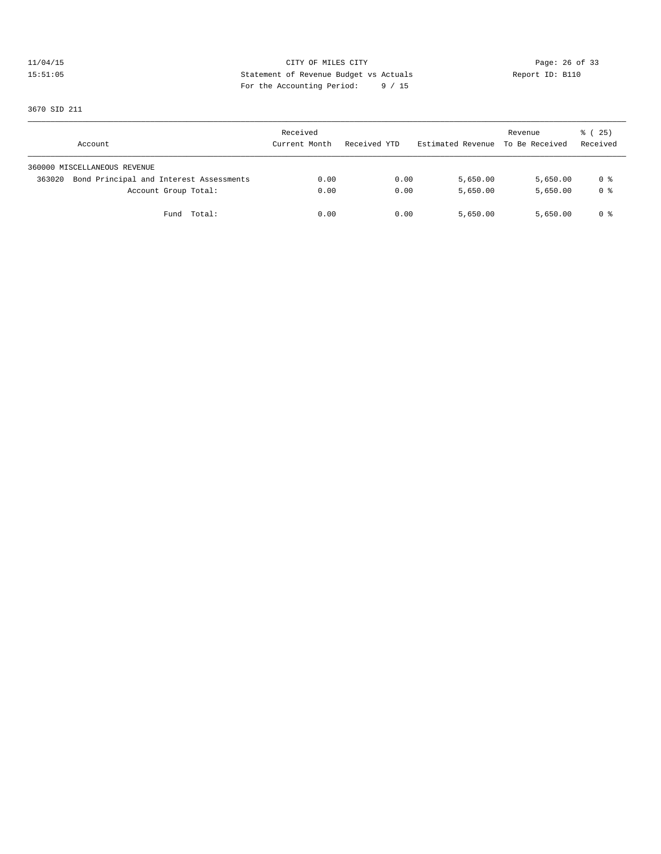# 11/04/15 Page: 26 of 33 15:51:05 Statement of Revenue Budget vs Actuals Report ID: B110 For the Accounting Period: 9 / 15

3670 SID 211

| Account                                           | Received<br>Current Month | Received YTD | Estimated Revenue To Be Received | Revenue  | % (25)<br>Received |
|---------------------------------------------------|---------------------------|--------------|----------------------------------|----------|--------------------|
| 360000 MISCELLANEOUS REVENUE                      |                           |              |                                  |          |                    |
| Bond Principal and Interest Assessments<br>363020 | 0.00                      | 0.00         | 5,650.00                         | 5,650.00 | 0 %                |
| Account Group Total:                              | 0.00                      | 0.00         | 5,650.00                         | 5,650.00 | 0 %                |
| Fund Total:                                       | 0.00                      | 0.00         | 5,650.00                         | 5,650.00 | 0 %                |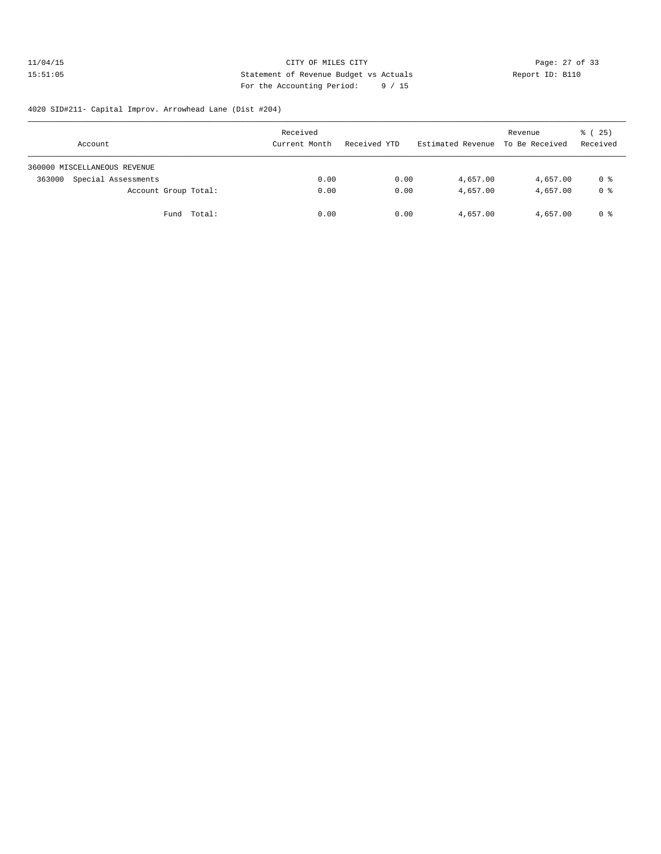## 11/04/15 Page: 27 of 33 15:51:05 Statement of Revenue Budget vs Actuals Report ID: B110 For the Accounting Period: 9 / 15

## 4020 SID#211- Capital Improv. Arrowhead Lane (Dist #204)

| Account                       | Received<br>Current Month | Received YTD | Estimated Revenue To Be Received | Revenue  | % (25)<br>Received |
|-------------------------------|---------------------------|--------------|----------------------------------|----------|--------------------|
| 360000 MISCELLANEOUS REVENUE  |                           |              |                                  |          |                    |
| Special Assessments<br>363000 | 0.00                      | 0.00         | 4,657.00                         | 4,657.00 | 0 %                |
| Account Group Total:          | 0.00                      | 0.00         | 4,657.00                         | 4,657.00 | 0 <sup>8</sup>     |
| Fund Total:                   | 0.00                      | 0.00         | 4,657.00                         | 4,657.00 | 0 %                |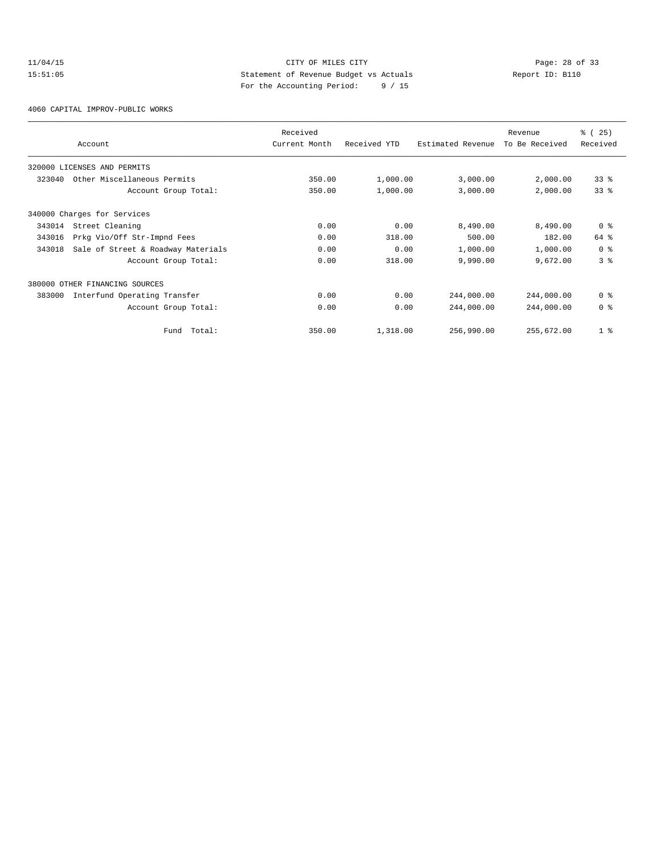## 11/04/15 Page: 28 of 33 15:51:05 Statement of Revenue Budget vs Actuals Report ID: B110 For the Accounting Period: 9 / 15

4060 CAPITAL IMPROV-PUBLIC WORKS

|        | Account                            | Received<br>Current Month | Received YTD | Estimated Revenue | Revenue<br>To Be Received | % (25)<br>Received |
|--------|------------------------------------|---------------------------|--------------|-------------------|---------------------------|--------------------|
|        | 320000 LICENSES AND PERMITS        |                           |              |                   |                           |                    |
| 323040 | Other Miscellaneous Permits        | 350.00                    | 1,000.00     | 3,000.00          | 2,000.00                  | 33 <sup>8</sup>    |
|        | Account Group Total:               | 350.00                    | 1,000.00     | 3,000.00          | 2,000.00                  | 33%                |
|        | 340000 Charges for Services        |                           |              |                   |                           |                    |
| 343014 | Street Cleaning                    | 0.00                      | 0.00         | 8,490.00          | 8,490.00                  | 0 <sup>8</sup>     |
| 343016 | Prkg Vio/Off Str-Impnd Fees        | 0.00                      | 318.00       | 500.00            | 182.00                    | 64 %               |
| 343018 | Sale of Street & Roadway Materials | 0.00                      | 0.00         | 1,000.00          | 1,000.00                  | 0 <sup>8</sup>     |
|        | Account Group Total:               | 0.00                      | 318.00       | 9,990.00          | 9,672.00                  | 3 <sup>8</sup>     |
|        | 380000 OTHER FINANCING SOURCES     |                           |              |                   |                           |                    |
| 383000 | Interfund Operating Transfer       | 0.00                      | 0.00         | 244,000.00        | 244,000.00                | 0 <sup>8</sup>     |
|        | Account Group Total:               | 0.00                      | 0.00         | 244,000.00        | 244,000.00                | 0 <sup>8</sup>     |
|        | Total:<br>Fund                     | 350.00                    | 1,318.00     | 256,990.00        | 255,672.00                | 1 <sup>°</sup>     |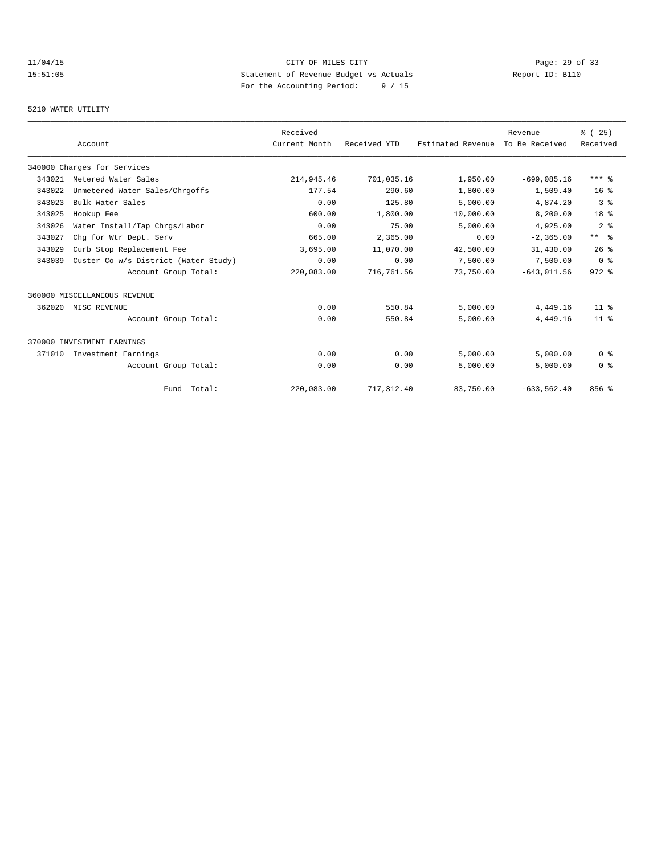# 11/04/15 Page: 29 of 33 15:51:05 Statement of Revenue Budget vs Actuals Report ID: B110<br>Report ID: B110 For the Accounting Period: 9 / 15

## 5210 WATER UTILITY

|        |                                      | Received      |              |                   | Revenue        | % (25)          |
|--------|--------------------------------------|---------------|--------------|-------------------|----------------|-----------------|
|        | Account                              | Current Month | Received YTD | Estimated Revenue | To Be Received | Received        |
|        | 340000 Charges for Services          |               |              |                   |                |                 |
| 343021 | Metered Water Sales                  | 214,945.46    | 701,035.16   | 1,950.00          | $-699,085.16$  | $***$ $%$       |
| 343022 | Unmetered Water Sales/Chrgoffs       | 177.54        | 290.60       | 1,800.00          | 1,509.40       | 16 <sup>8</sup> |
| 343023 | Bulk Water Sales                     | 0.00          | 125.80       | 5,000.00          | 4,874.20       | 3 <sup>8</sup>  |
| 343025 | Hookup Fee                           | 600.00        | 1,800.00     | 10,000.00         | 8,200.00       | 18 <sup>8</sup> |
| 343026 | Water Install/Tap Chrgs/Labor        | 0.00          | 75.00        | 5,000.00          | 4,925.00       | 2 <sup>°</sup>  |
| 343027 | Chq for Wtr Dept. Serv               | 665.00        | 2,365.00     | 0.00              | $-2, 365.00$   | $***$ $ -$      |
| 343029 | Curb Stop Replacement Fee            | 3,695.00      | 11,070.00    | 42,500.00         | 31,430.00      | 26%             |
| 343039 | Custer Co w/s District (Water Study) | 0.00          | 0.00         | 7,500.00          | 7,500.00       | 0 <sup>8</sup>  |
|        | Account Group Total:                 | 220,083.00    | 716,761.56   | 73,750.00         | $-643,011.56$  | $972$ $%$       |
|        | 360000 MISCELLANEOUS REVENUE         |               |              |                   |                |                 |
| 362020 | MISC REVENUE                         | 0.00          | 550.84       | 5,000.00          | 4,449.16       | 11 <sup>8</sup> |
|        | Account Group Total:                 | 0.00          | 550.84       | 5,000.00          | 4,449.16       | 11 <sup>8</sup> |
|        | 370000 INVESTMENT EARNINGS           |               |              |                   |                |                 |
| 371010 | Investment Earnings                  | 0.00          | 0.00         | 5.000.00          | 5.000.00       | 0 <sup>8</sup>  |
|        | Account Group Total:                 | 0.00          | 0.00         | 5,000.00          | 5,000.00       | 0 <sup>8</sup>  |
|        | Fund Total:                          | 220,083.00    | 717, 312.40  | 83,750.00         | $-633, 562.40$ | 856 %           |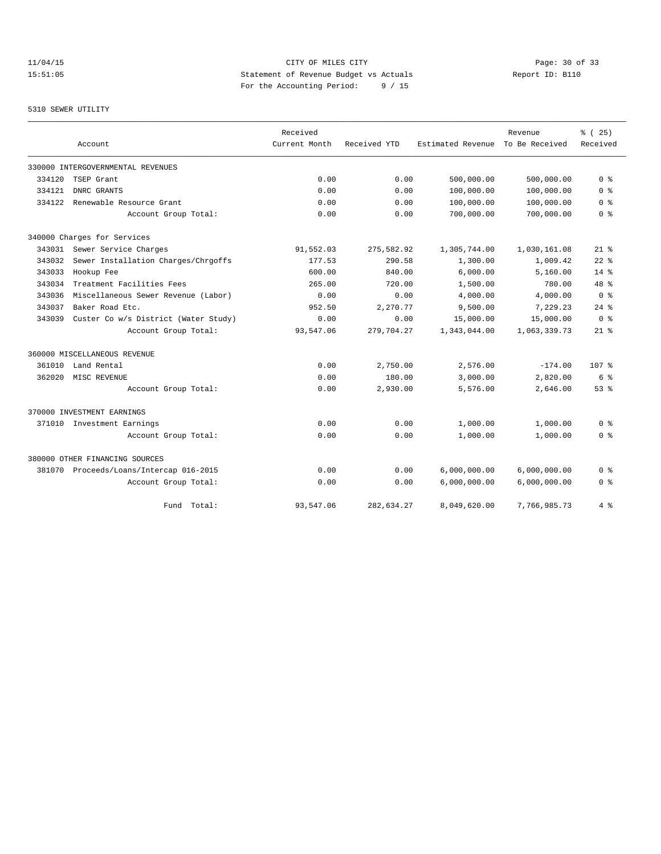# 11/04/15 Page: 30 of 33 15:51:05 Statement of Revenue Budget vs Actuals Report ID: B110 For the Accounting Period: 9 / 15

## 5310 SEWER UTILITY

|        |                                         | Received      |              |                   | Revenue        | % (25)           |
|--------|-----------------------------------------|---------------|--------------|-------------------|----------------|------------------|
|        | Account                                 | Current Month | Received YTD | Estimated Revenue | To Be Received | Received         |
|        | 330000 INTERGOVERNMENTAL REVENUES       |               |              |                   |                |                  |
| 334120 | TSEP Grant                              | 0.00          | 0.00         | 500,000.00        | 500,000.00     | 0 <sup>8</sup>   |
| 334121 | DNRC GRANTS                             | 0.00          | 0.00         | 100,000.00        | 100,000.00     | 0 <sub>8</sub>   |
| 334122 | Renewable Resource Grant                | 0.00          | 0.00         | 100,000.00        | 100,000.00     | 0 <sup>8</sup>   |
|        | Account Group Total:                    | 0.00          | 0.00         | 700,000.00        | 700,000.00     | 0 <sup>8</sup>   |
|        | 340000 Charges for Services             |               |              |                   |                |                  |
| 343031 | Sewer Service Charges                   | 91,552.03     | 275,582.92   | 1,305,744.00      | 1,030,161.08   | $21$ %           |
| 343032 | Sewer Installation Charges/Chrgoffs     | 177.53        | 290.58       | 1,300.00          | 1,009.42       | $22$ $%$         |
| 343033 | Hookup Fee                              | 600.00        | 840.00       | 6,000.00          | 5,160.00       | $14*$            |
| 343034 | Treatment Facilities Fees               | 265.00        | 720.00       | 1,500.00          | 780.00         | $48$ %           |
| 343036 | Miscellaneous Sewer Revenue (Labor)     | 0.00          | 0.00         | 4,000.00          | 4,000.00       | 0 <sup>8</sup>   |
| 343037 | Baker Road Etc.                         | 952.50        | 2,270.77     | 9,500.00          | 7,229.23       | $24$ $%$         |
| 343039 | Custer Co w/s District (Water Study)    | 0.00          | 0.00         | 15,000.00         | 15,000.00      | 0 <sup>8</sup>   |
|        | Account Group Total:                    | 93,547.06     | 279,704.27   | 1,343,044.00      | 1,063,339.73   | $21*$            |
|        | 360000 MISCELLANEOUS REVENUE            |               |              |                   |                |                  |
| 361010 | Land Rental                             | 0.00          | 2,750.00     | 2,576.00          | $-174.00$      | 107 <sub>8</sub> |
| 362020 | MISC REVENUE                            | 0.00          | 180.00       | 3,000.00          | 2,820.00       | 6 %              |
|        | Account Group Total:                    | 0.00          | 2,930.00     | 5,576.00          | 2,646.00       | 53%              |
|        | 370000 INVESTMENT EARNINGS              |               |              |                   |                |                  |
|        | 371010 Investment Earnings              | 0.00          | 0.00         | 1,000.00          | 1,000.00       | 0 <sup>8</sup>   |
|        | Account Group Total:                    | 0.00          | 0.00         | 1,000.00          | 1,000.00       | 0 %              |
|        | 380000 OTHER FINANCING SOURCES          |               |              |                   |                |                  |
|        | 381070 Proceeds/Loans/Intercap 016-2015 | 0.00          | 0.00         | 6,000,000.00      | 6,000,000.00   | 0 %              |
|        | Account Group Total:                    | 0.00          | 0.00         | 6,000,000.00      | 6,000,000.00   | 0 <sup>8</sup>   |
|        | Total:<br>Fund                          | 93,547.06     | 282,634.27   | 8,049,620.00      | 7,766,985.73   | 4%               |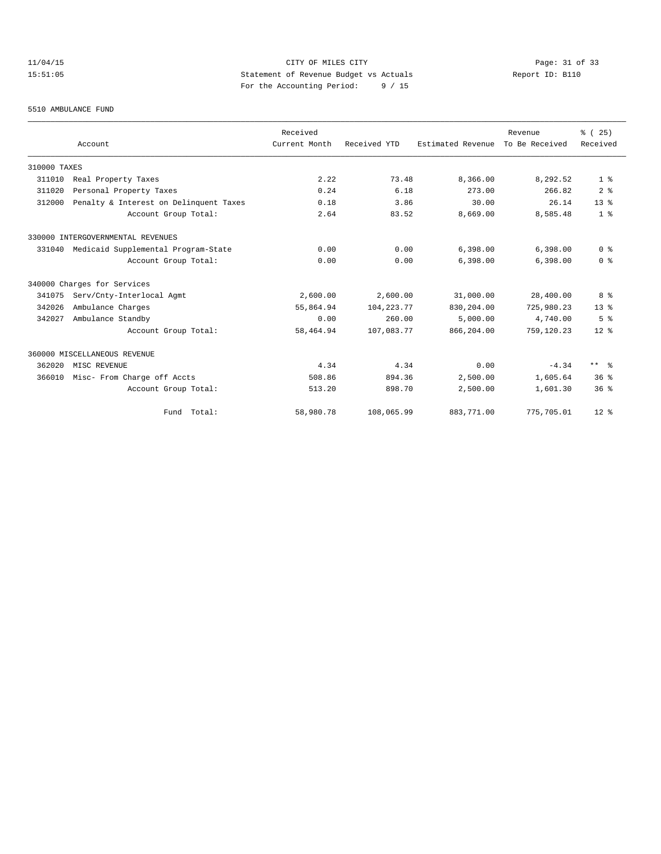# 11/04/15 Page: 31 of 33 15:51:05 Statement of Revenue Budget vs Actuals Report ID: B110 For the Accounting Period: 9 / 15

#### 5510 AMBULANCE FUND

|              |                                            | Received      |              |                   | Revenue        | % (25)               |
|--------------|--------------------------------------------|---------------|--------------|-------------------|----------------|----------------------|
|              | Account                                    | Current Month | Received YTD | Estimated Revenue | To Be Received | Received             |
| 310000 TAXES |                                            |               |              |                   |                |                      |
| 311010       | Real Property Taxes                        | 2.22          | 73.48        | 8,366.00          | 8,292.52       | 1 <sup>8</sup>       |
| 311020       | Personal Property Taxes                    | 0.24          | 6.18         | 273.00            | 266.82         | 2 <sup>8</sup>       |
| 312000       | Penalty & Interest on Delinquent Taxes     | 0.18          | 3.86         | 30.00             | 26.14          | 13 <sup>8</sup>      |
|              | Account Group Total:                       | 2.64          | 83.52        | 8,669.00          | 8,585.48       | 1 <sup>°</sup>       |
|              | 330000 INTERGOVERNMENTAL REVENUES          |               |              |                   |                |                      |
|              | 331040 Medicaid Supplemental Program-State | 0.00          | 0.00         | 6,398.00          | 6,398.00       | 0 <sup>8</sup>       |
|              | Account Group Total:                       | 0.00          | 0.00         | 6,398.00          | 6,398.00       | 0 <sup>8</sup>       |
|              | 340000 Charges for Services                |               |              |                   |                |                      |
| 341075       | Serv/Cnty-Interlocal Agmt                  | 2,600.00      | 2,600.00     | 31,000.00         | 28,400.00      | 8 %                  |
| 342026       | Ambulance Charges                          | 55,864.94     | 104, 223. 77 | 830,204.00        | 725,980.23     | 13 <sup>8</sup>      |
| 342027       | Ambulance Standby                          | 0.00          | 260.00       | 5,000.00          | 4,740.00       | 5 <sup>8</sup>       |
|              | Account Group Total:                       | 58,464.94     | 107,083.77   | 866,204.00        | 759,120.23     | $12*$                |
|              | 360000 MISCELLANEOUS REVENUE               |               |              |                   |                |                      |
| 362020       | MISC REVENUE                               | 4.34          | 4.34         | 0.00              | $-4.34$        | $***$ $ \frac{6}{9}$ |
| 366010       | Misc- From Charge off Accts                | 508.86        | 894.36       | 2,500.00          | 1,605.64       | 36 <sup>8</sup>      |
|              | Account Group Total:                       | 513.20        | 898.70       | 2,500.00          | 1,601.30       | 36 <sup>8</sup>      |
|              | Fund Total:                                | 58,980.78     | 108,065.99   | 883,771.00        | 775,705.01     | $12*$                |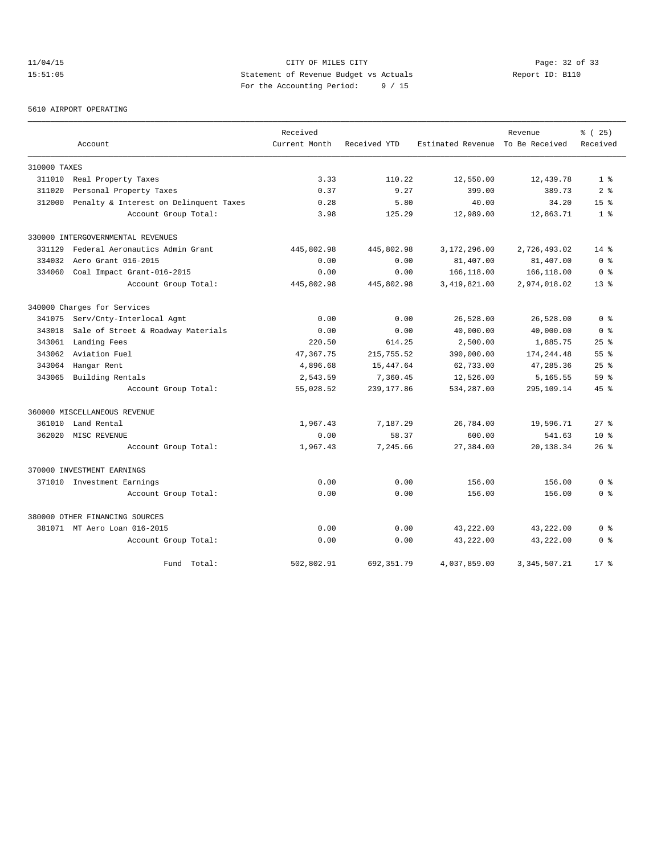# 11/04/15 Page: 32 of 33 15:51:05 Statement of Revenue Budget vs Actuals Report ID: B110 For the Accounting Period: 9 / 15

5610 AIRPORT OPERATING

|              |                                        | Received      |              |                   | Revenue        | % (25)          |
|--------------|----------------------------------------|---------------|--------------|-------------------|----------------|-----------------|
|              | Account                                | Current Month | Received YTD | Estimated Revenue | To Be Received | Received        |
| 310000 TAXES |                                        |               |              |                   |                |                 |
| 311010       | Real Property Taxes                    | 3.33          | 110.22       | 12,550.00         | 12,439.78      | 1 <sup>8</sup>  |
| 311020       | Personal Property Taxes                | 0.37          | 9.27         | 399.00            | 389.73         | 2 <sup>8</sup>  |
| 312000       | Penalty & Interest on Delinquent Taxes | 0.28          | 5.80         | 40.00             | 34.20          | 15 <sup>8</sup> |
|              | Account Group Total:                   | 3.98          | 125.29       | 12,989.00         | 12,863.71      | 1 <sup>8</sup>  |
|              | 330000 INTERGOVERNMENTAL REVENUES      |               |              |                   |                |                 |
| 331129       | Federal Aeronautics Admin Grant        | 445,802.98    | 445,802.98   | 3,172,296.00      | 2,726,493.02   | $14*$           |
| 334032       | Aero Grant 016-2015                    | 0.00          | 0.00         | 81,407.00         | 81,407.00      | 0 <sup>8</sup>  |
| 334060       | Coal Impact Grant-016-2015             | 0.00          | 0.00         | 166,118.00        | 166,118.00     | 0 <sup>8</sup>  |
|              | Account Group Total:                   | 445,802.98    | 445,802.98   | 3, 419, 821.00    | 2,974,018.02   | $13*$           |
|              | 340000 Charges for Services            |               |              |                   |                |                 |
| 341075       | Serv/Cnty-Interlocal Agmt              | 0.00          | 0.00         | 26,528.00         | 26,528.00      | 0 <sup>8</sup>  |
| 343018       | Sale of Street & Roadway Materials     | 0.00          | 0.00         | 40,000.00         | 40,000.00      | 0 <sup>8</sup>  |
| 343061       | Landing Fees                           | 220.50        | 614.25       | 2,500.00          | 1,885.75       | 25%             |
| 343062       | Aviation Fuel                          | 47, 367. 75   | 215,755.52   | 390,000.00        | 174,244.48     | 55 <sup>8</sup> |
| 343064       | Hangar Rent                            | 4,896.68      | 15,447.64    | 62,733.00         | 47,285.36      | 25%             |
| 343065       | Building Rentals                       | 2,543.59      | 7,360.45     | 12,526.00         | 5,165.55       | 59 <sup>8</sup> |
|              | Account Group Total:                   | 55,028.52     | 239, 177.86  | 534,287.00        | 295,109.14     | 45%             |
|              | 360000 MISCELLANEOUS REVENUE           |               |              |                   |                |                 |
| 361010       | Land Rental                            | 1,967.43      | 7,187.29     | 26,784.00         | 19,596.71      | $27$ %          |
| 362020       | MISC REVENUE                           | 0.00          | 58.37        | 600.00            | 541.63         | $10*$           |
|              | Account Group Total:                   | 1,967.43      | 7,245.66     | 27,384.00         | 20,138.34      | $26$ %          |
|              | 370000 INVESTMENT EARNINGS             |               |              |                   |                |                 |
|              | 371010 Investment Earnings             | 0.00          | 0.00         | 156.00            | 156.00         | 0 <sup>8</sup>  |
|              | Account Group Total:                   | 0.00          | 0.00         | 156.00            | 156.00         | 0 <sup>8</sup>  |
|              | 380000 OTHER FINANCING SOURCES         |               |              |                   |                |                 |
|              | 381071 MT Aero Loan 016-2015           | 0.00          | 0.00         | 43,222.00         | 43,222.00      | 0 <sup>8</sup>  |
|              | Account Group Total:                   | 0.00          | 0.00         | 43,222.00         | 43,222.00      | 0 <sup>8</sup>  |
|              | Fund Total:                            | 502,802.91    | 692, 351.79  | 4,037,859.00      | 3, 345, 507.21 | $17*$           |